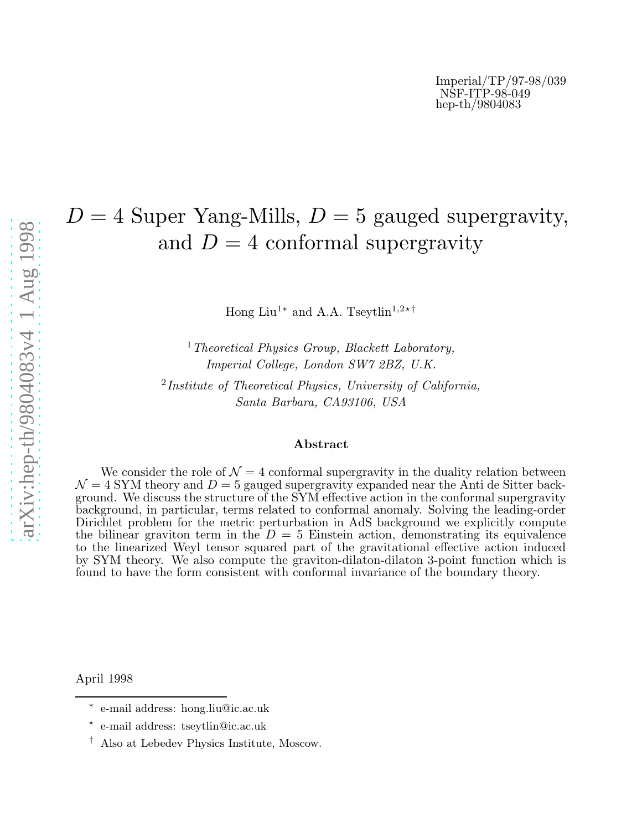# $D = 4$  Super Yang-Mills,  $D = 5$  gauged supergravity, and  $D=4$  conformal supergravity

Hong Liu<sup>1\*</sup> and A.A. Tseytlin<sup>1,2\*†</sup>

<sup>1</sup> Theoretical Physics Group, Blackett Laboratory, Imperial College, London SW7 2BZ, U.K.

<sup>2</sup>Institute of Theoretical Physics, University of California, Santa Barbara, CA93106, USA

### Abstract

We consider the role of  $\mathcal{N} = 4$  conformal supergravity in the duality relation between  $\mathcal{N} = 4$  SYM theory and  $D = 5$  gauged supergravity expanded near the Anti de Sitter background. We discuss the structure of the SYM effective action in the conformal supergravity background, in particular, terms related to conformal anomaly. Solving the leading-order Dirichlet problem for the metric perturbation in AdS background we explicitly compute the bilinear graviton term in the  $D = 5$  Einstein action, demonstrating its equivalence to the linearized Weyl tensor squared part of the gravitational effective action induced by SYM theory. We also compute the graviton-dilaton-dilaton 3-point function which is found to have the form consistent with conformal invariance of the boundary theory.

April 1998

<sup>∗</sup> e-mail address: hong.liu@ic.ac.uk

<sup>⋆</sup> e-mail address: tseytlin@ic.ac.uk

<sup>†</sup> Also at Lebedev Physics Institute, Moscow.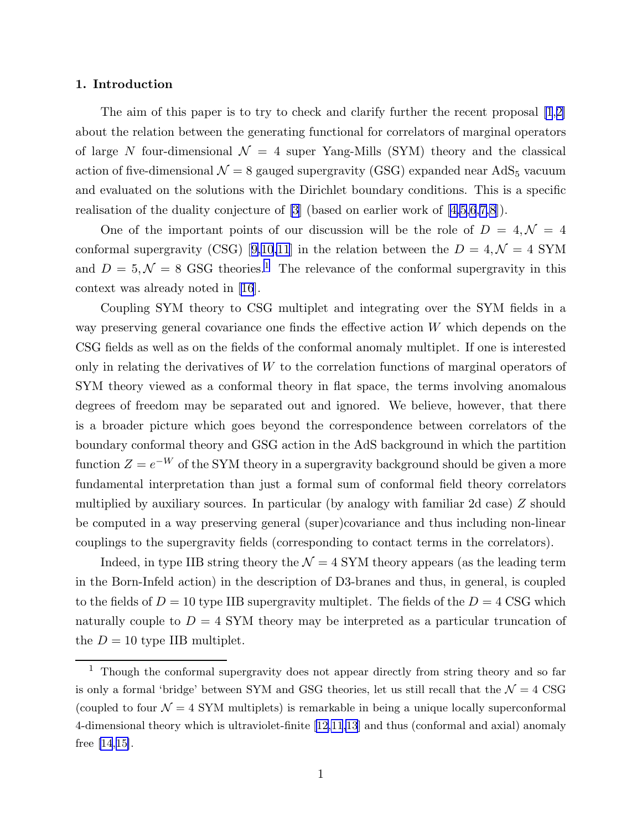#### 1. Introduction

The aim of this paper is to try to check and clarify further the recent proposal [\[1](#page-21-0),[2\]](#page-21-0) about the relation between the generating functional for correlators of marginal operators of large N four-dimensional  $\mathcal{N} = 4$  super Yang-Mills (SYM) theory and the classical action of five-dimensional  $\mathcal{N} = 8$  gauged supergravity (GSG) expanded near AdS<sub>5</sub> vacuum and evaluated on the solutions with the Dirichlet boundary conditions. This is a specific realisation of the duality conjecture of [\[3](#page-21-0)] (based on earlier work of[[4,5,6](#page-21-0),[7,8](#page-21-0)]).

One of the important points of our discussion will be the role of  $D = 4, \mathcal{N} = 4$ conformalsupergravity (CSG) [[9,10,11](#page-21-0)] in the relation between the  $D = 4, \mathcal{N} = 4$  SYM and  $D = 5, \mathcal{N} = 8$  GSG theories.<sup>1</sup> The relevance of the conformal supergravity in this context was already noted in [\[16](#page-21-0)].

Coupling SYM theory to CSG multiplet and integrating over the SYM fields in a way preserving general covariance one finds the effective action W which depends on the CSG fields as well as on the fields of the conformal anomaly multiplet. If one is interested only in relating the derivatives of W to the correlation functions of marginal operators of SYM theory viewed as a conformal theory in flat space, the terms involving anomalous degrees of freedom may be separated out and ignored. We believe, however, that there is a broader picture which goes beyond the correspondence between correlators of the boundary conformal theory and GSG action in the AdS background in which the partition function  $Z = e^{-W}$  of the SYM theory in a supergravity background should be given a more fundamental interpretation than just a formal sum of conformal field theory correlators multiplied by auxiliary sources. In particular (by analogy with familiar 2d case) Z should be computed in a way preserving general (super)covariance and thus including non-linear couplings to the supergravity fields (corresponding to contact terms in the correlators).

Indeed, in type IIB string theory the  $\mathcal{N} = 4$  SYM theory appears (as the leading term in the Born-Infeld action) in the description of D3-branes and thus, in general, is coupled to the fields of  $D = 10$  type IIB supergravity multiplet. The fields of the  $D = 4$  CSG which naturally couple to  $D = 4$  SYM theory may be interpreted as a particular truncation of the  $D = 10$  type IIB multiplet.

 $1$  Though the conformal supergravity does not appear directly from string theory and so far is only a formal 'bridge' between SYM and GSG theories, let us still recall that the  $\mathcal{N}=4$  CSG (coupled to four  $\mathcal{N} = 4$  SYM multiplets) is remarkable in being a unique locally superconformal 4-dimensional theory which is ultraviolet-finite[[12,11,13](#page-21-0)] and thus (conformal and axial) anomaly free [\[14](#page-21-0),[15\]](#page-21-0).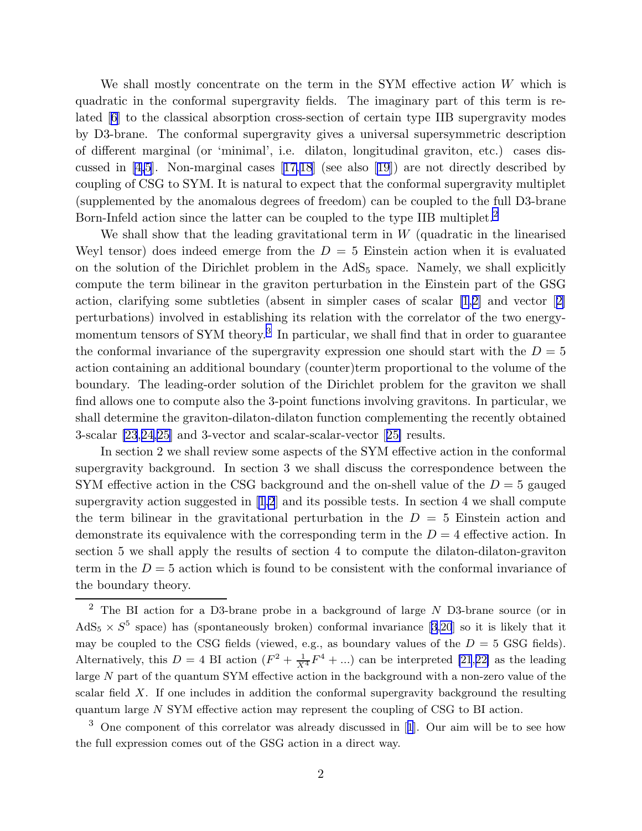We shall mostly concentrate on the term in the SYM effective action  $W$  which is quadratic in the conformal supergravity fields. The imaginary part of this term is related[[6\]](#page-21-0) to the classical absorption cross-section of certain type IIB supergravity modes by D3-brane. The conformal supergravity gives a universal supersymmetric description of different marginal (or 'minimal', i.e. dilaton, longitudinal graviton, etc.) cases discussed in[[4,5](#page-21-0)]. Non-marginal cases[[17,18](#page-21-0)] (see also[[19](#page-21-0)]) are not directly described by coupling of CSG to SYM. It is natural to expect that the conformal supergravity multiplet (supplemented by the anomalous degrees of freedom) can be coupled to the full D3-brane Born-Infeld action since the latter can be coupled to the type IIB multiplet.<sup>2</sup>

We shall show that the leading gravitational term in  $W$  (quadratic in the linearised Weyl tensor) does indeed emerge from the  $D = 5$  Einstein action when it is evaluated on the solution of the Dirichlet problem in the  $AdS<sub>5</sub>$  space. Namely, we shall explicitly compute the term bilinear in the graviton perturbation in the Einstein part of the GSG action, clarifying some subtleties (absent in simpler cases of scalar [\[1](#page-21-0),[2\]](#page-21-0) and vector[[2\]](#page-21-0) perturbations) involved in establishing its relation with the correlator of the two energymomentum tensors of SYM theory.<sup>3</sup> In particular, we shall find that in order to guarantee the conformal invariance of the supergravity expression one should start with the  $D = 5$ action containing an additional boundary (counter)term proportional to the volume of the boundary. The leading-order solution of the Dirichlet problem for the graviton we shall find allows one to compute also the 3-point functions involving gravitons. In particular, we shall determine the graviton-dilaton-dilaton function complementing the recently obtained 3-scalar [\[23](#page-22-0),[24,25](#page-22-0)] and 3-vector and scalar-scalar-vector[[25\]](#page-22-0) results.

In section 2 we shall review some aspects of the SYM effective action in the conformal supergravity background. In section 3 we shall discuss the correspondence between the SYM effective action in the CSG background and the on-shell value of the  $D = 5$  gauged supergravity action suggested in [\[1,2](#page-21-0)] and its possible tests. In section 4 we shall compute the term bilinear in the gravitational perturbation in the  $D = 5$  Einstein action and demonstrate its equivalence with the corresponding term in the  $D = 4$  effective action. In section 5 we shall apply the results of section 4 to compute the dilaton-dilaton-graviton term in the  $D = 5$  action which is found to be consistent with the conformal invariance of the boundary theory.

<sup>&</sup>lt;sup>2</sup> The BI action for a D3-brane probe in a background of large  $N$  D3-brane source (or in  $AdS_5 \times S^5$  $AdS_5 \times S^5$  $AdS_5 \times S^5$  space) has (spontaneously broken) conformal invariance [[3,20](#page-21-0)] so it is likely that it may be coupled to the CSG fields (viewed, e.g., as boundary values of the  $D = 5$  GSG fields). Alternatively, this  $D = 4$  BI action  $(F^2 + \frac{1}{X^4}F^4 + ...)$  can be interpreted [\[21](#page-22-0),[22\]](#page-22-0) as the leading large N part of the quantum SYM effective action in the background with a non-zero value of the scalar field X. If one includes in addition the conformal supergravity background the resulting quantum large N SYM effective action may represent the coupling of CSG to BI action.

<sup>3</sup> One component of this correlator was already discussed in[[1](#page-21-0)]. Our aim will be to see how the full expression comes out of the GSG action in a direct way.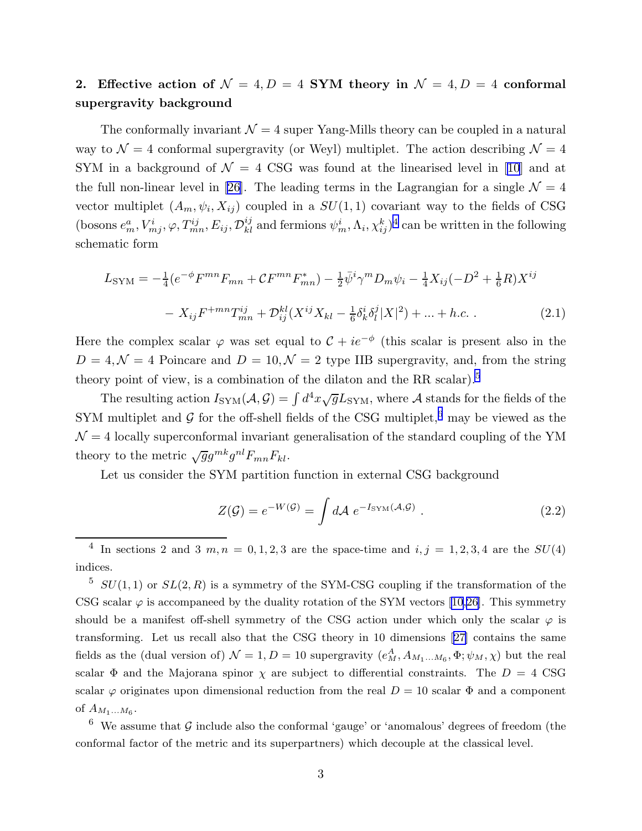# 2. Effective action of  $\mathcal{N} = 4, D = 4$  SYM theory in  $\mathcal{N} = 4, D = 4$  conformal supergravity background

The conformally invariant  $\mathcal{N} = 4$  super Yang-Mills theory can be coupled in a natural way to  $\mathcal{N} = 4$  conformal supergravity (or Weyl) multiplet. The action describing  $\mathcal{N} = 4$ SYM in a background of  $\mathcal{N} = 4$  CSG was found at the linearised level in [\[10](#page-21-0)] and at the full non-linear level in [\[26](#page-22-0)]. The leading terms in the Lagrangian for a single  $\mathcal{N} = 4$ vector multiplet  $(A_m, \psi_i, X_{ij})$  coupled in a  $SU(1, 1)$  covariant way to the fields of CSG (bosons  $e_m^a$ ,  $V_{mj}^i$ ,  $\varphi$ ,  $T_{mn}^{ij}$ ,  $E_{ij}$ ,  $\mathcal{D}_{kl}^{ij}$  and fermions  $\psi_m^i$ ,  $\Lambda_i$ ,  $\chi_{ij}^k$ )<sup>4</sup> can be written in the following schematic form

$$
L_{\text{SYM}} = -\frac{1}{4} (e^{-\phi} F^{mn} F_{mn} + C F^{mn} F_{mn}^*) - \frac{1}{2} \bar{\psi}^i \gamma^m D_m \psi_i - \frac{1}{4} X_{ij} (-D^2 + \frac{1}{6} R) X^{ij}
$$

$$
- X_{ij} F^{+mn} T_{mn}^{ij} + \mathcal{D}_{ij}^{kl} (X^{ij} X_{kl} - \frac{1}{6} \delta_k^i \delta_l^j |X|^2) + \dots + h.c. \tag{2.1}
$$

Here the complex scalar  $\varphi$  was set equal to  $\mathcal{C} + ie^{-\phi}$  (this scalar is present also in the  $D = 4, \mathcal{N} = 4$  Poincare and  $D = 10, \mathcal{N} = 2$  type IIB supergravity, and, from the string theory point of view, is a combination of the dilaton and the RR scalar).<sup>5</sup>

The resulting action  $I_{SYM}(\mathcal{A}, \mathcal{G}) = \int d^4x \sqrt{g} L_{SYM}$ , where  $\mathcal{A}$  stands for the fields of the SYM multiplet and  $\mathcal G$  for the off-shell fields of the CSG multiplet,<sup>6</sup> may be viewed as the  $\mathcal{N} = 4$  locally superconformal invariant generalisation of the standard coupling of the YM theory to the metric  $\sqrt{g}g^{mk}g^{nl}F_{mn}F_{kl}$ .

Let us consider the SYM partition function in external CSG background

$$
Z(\mathcal{G}) = e^{-W(\mathcal{G})} = \int d\mathcal{A} \ e^{-I_{\text{SYM}}(\mathcal{A}, \mathcal{G})} \ . \tag{2.2}
$$

 $5$   $SU(1,1)$  or  $SL(2,R)$  is a symmetry of the SYM-CSG coupling if the transformation of the CSGscalar  $\varphi$  is accompaneed by the duality rotation of the SYM vectors [[10,](#page-21-0)[26](#page-22-0)]. This symmetry should be a manifest off-shell symmetry of the CSG action under which only the scalar  $\varphi$  is transforming. Let us recall also that the CSG theory in 10 dimensions[[27\]](#page-22-0) contains the same fields as the (dual version of)  $\mathcal{N} = 1, D = 10$  supergravity  $(e_M^A, A_{M_1...M_6}, \Phi; \psi_M, \chi)$  but the real scalar  $\Phi$  and the Majorana spinor  $\chi$  are subject to differential constraints. The  $D = 4$  CSG scalar  $\varphi$  originates upon dimensional reduction from the real  $D = 10$  scalar  $\Phi$  and a component of  $A_{M_1...M_6}$ .

 $6\,$  We assume that  $G$  include also the conformal 'gauge' or 'anomalous' degrees of freedom (the conformal factor of the metric and its superpartners) which decouple at the classical level.

<sup>&</sup>lt;sup>4</sup> In sections 2 and 3 m, n = 0, 1, 2, 3 are the space-time and  $i, j = 1, 2, 3, 4$  are the  $SU(4)$ indices.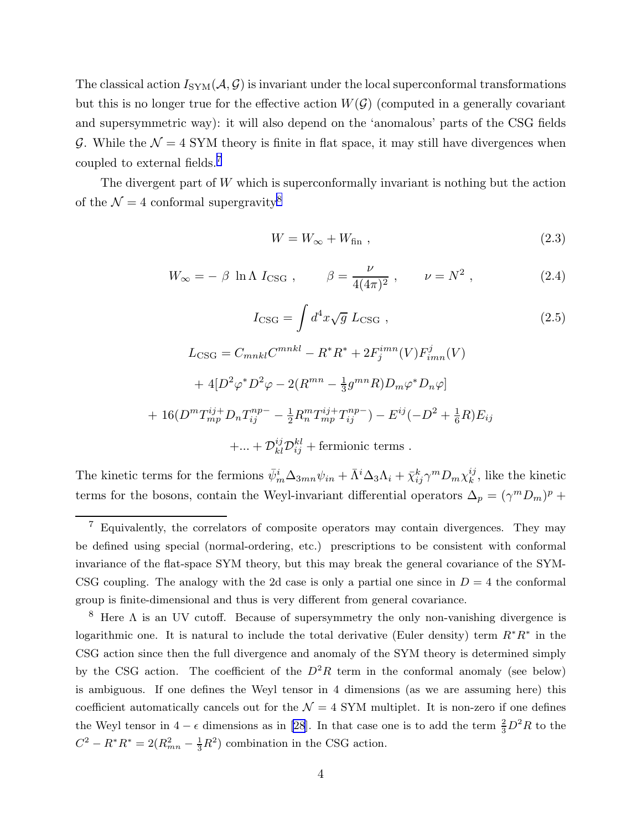<span id="page-4-0"></span>The classical action  $I_{SYM}(\mathcal{A}, \mathcal{G})$  is invariant under the local superconformal transformations but this is no longer true for the effective action  $W(\mathcal{G})$  (computed in a generally covariant and supersymmetric way): it will also depend on the 'anomalous' parts of the CSG fields G. While the  $\mathcal{N} = 4$  SYM theory is finite in flat space, it may still have divergences when coupled to external fields.<sup>7</sup>

The divergent part of  $W$  which is superconformally invariant is nothing but the action of the  $\mathcal{N} = 4$  conformal supergravity<sup>8</sup>

$$
W = W_{\infty} + W_{\text{fin}} \t{,} \t(2.3)
$$

$$
W_{\infty} = -\beta \ln \Lambda I_{\text{CSG}} , \qquad \beta = \frac{\nu}{4(4\pi)^2} , \qquad \nu = N^2 , \qquad (2.4)
$$

$$
I_{\text{CSG}} = \int d^4x \sqrt{g} \ L_{\text{CSG}} ,
$$
\n
$$
L_{\text{CSG}} = C_{mnkl} C^{mnkl} - R^* R^* + 2F_j^{imn} (V) F_{imn}^j (V)
$$
\n
$$
+ 4[D^2 \varphi^* D^2 \varphi - 2(R^{mn} - \frac{1}{3} g^{mn} R) D_m \varphi^* D_n \varphi]
$$
\n
$$
16(D^m T_{mp}^{ij+} D_n T_{ij}^{np-} - \frac{1}{2} R_n^m T_{mp}^{ij+} T_{ij}^{np-}) - E^{ij} (-D^2 + \frac{1}{6} R) E_{ij}
$$
\n
$$
+ ... + \mathcal{D}_{kl}^{ij} \mathcal{D}_{ij}^{kl} + \text{fermionic terms} .
$$
\n(2.5)

The kinetic terms for the fermions  $\bar{\psi}_m^i \Delta_{3mn} \psi_{in} + \bar{\Lambda}^i \Delta_3 \Lambda_i + \bar{\chi}_{ij}^k \gamma^m D_m \chi_k^{ij}$  $\binom{ij}{k}$ , like the kinetic terms for the bosons, contain the Weyl-invariant differential operators  $\Delta_p = (\gamma^m D_m)^p +$ 

 $+$ 

<sup>7</sup> Equivalently, the correlators of composite operators may contain divergences. They may be defined using special (normal-ordering, etc.) prescriptions to be consistent with conformal invariance of the flat-space SYM theory, but this may break the general covariance of the SYM-CSG coupling. The analogy with the 2d case is only a partial one since in  $D = 4$  the conformal group is finite-dimensional and thus is very different from general covariance.

<sup>&</sup>lt;sup>8</sup> Here  $\Lambda$  is an UV cutoff. Because of supersymmetry the only non-vanishing divergence is logarithmic one. It is natural to include the total derivative (Euler density) term  $R^*R^*$  in the CSG action since then the full divergence and anomaly of the SYM theory is determined simply by the CSG action. The coefficient of the  $D^2R$  term in the conformal anomaly (see below) is ambiguous. If one defines the Weyl tensor in 4 dimensions (as we are assuming here) this coefficient automatically cancels out for the  $\mathcal{N} = 4$  SYM multiplet. It is non-zero if one defines the Weyl tensor in  $4 - \epsilon$  dimensions as in [\[28](#page-22-0)]. In that case one is to add the term  $\frac{2}{3}D^2R$  to the  $C^2 - R^*R^* = 2(R_{mn}^2 - \frac{1}{3}R^2)$  combination in the CSG action.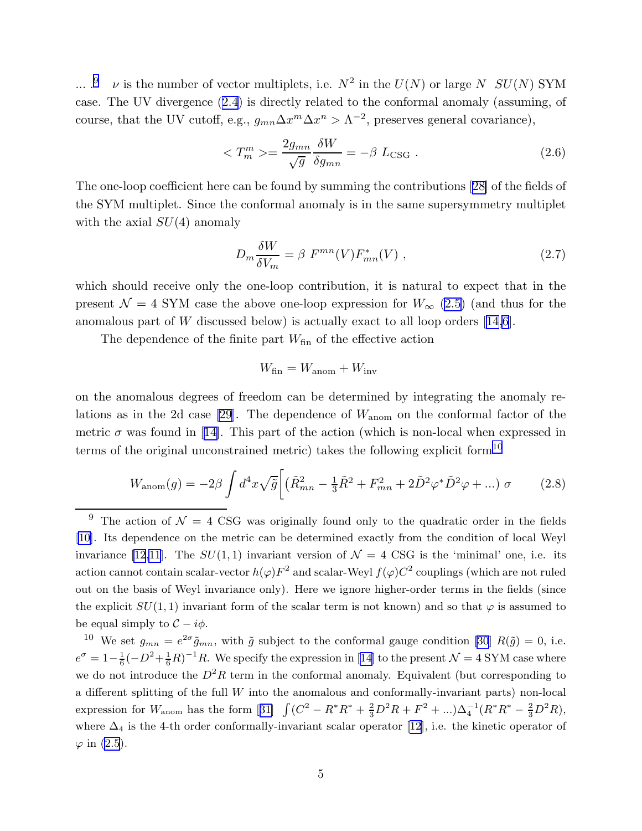<span id="page-5-0"></span>... .<sup>9</sup> v is the number of vector multiplets, i.e.  $N^2$  in the  $U(N)$  or large N  $SU(N)$  SYM case. The UV divergence([2.4](#page-4-0)) is directly related to the conformal anomaly (assuming, of course, that the UV cutoff, e.g.,  $g_{mn}\Delta x^m \Delta x^n > \Lambda^{-2}$ , preserves general covariance),

$$
\langle T_m^m \rangle = \frac{2g_{mn}}{\sqrt{g}} \frac{\delta W}{\delta g_{mn}} = -\beta L_{\text{CSG}} . \tag{2.6}
$$

The one-loop coefficient here can be found by summing the contributions[[28\]](#page-22-0) of the fields of the SYM multiplet. Since the conformal anomaly is in the same supersymmetry multiplet with the axial  $SU(4)$  anomaly

$$
D_m \frac{\delta W}{\delta V_m} = \beta \ F^{mn}(V) F^*_{mn}(V) \ , \tag{2.7}
$$

which should receive only the one-loop contribution, it is natural to expect that in the present  $\mathcal{N} = 4$  SYM case the above one-loop expression for  $W_{\infty}$  [\(2.5\)](#page-4-0) (and thus for the anomalouspart of  $W$  discussed below) is actually exact to all loop orders [[14,6](#page-21-0)].

The dependence of the finite part  $W_{fin}$  of the effective action

$$
W_{\rm fin}=W_{\rm anom}+W_{\rm inv}
$$

on the anomalous degrees of freedom can be determined by integrating the anomaly re-lations as in the 2d case [\[29](#page-22-0)]. The dependence of  $W_{\text{anom}}$  on the conformal factor of the metric $\sigma$  was found in [[14\]](#page-21-0). This part of the action (which is non-local when expressed in terms of the original unconstrained metric) takes the following explicit form<sup>10</sup>

$$
W_{\text{anom}}(g) = -2\beta \int d^4x \sqrt{\tilde{g}} \left[ \left( \tilde{R}_{mn}^2 - \frac{1}{3} \tilde{R}^2 + F_{mn}^2 + 2 \tilde{D}^2 \varphi^* \tilde{D}^2 \varphi + \ldots \right) \sigma \right] \tag{2.8}
$$

<sup>&</sup>lt;sup>9</sup> The action of  $\mathcal{N} = 4$  CSG was originally found only to the quadratic order in the fields [\[10](#page-21-0)]. Its dependence on the metric can be determined exactly from the condition of local Weyl invariance [\[12,11](#page-21-0)]. The  $SU(1,1)$  invariant version of  $\mathcal{N}=4$  CSG is the 'minimal' one, i.e. its action cannot contain scalar-vector  $h(\varphi)F^2$  and scalar-Weyl  $f(\varphi)C^2$  couplings (which are not ruled out on the basis of Weyl invariance only). Here we ignore higher-order terms in the fields (since the explicit  $SU(1, 1)$  invariant form of the scalar term is not known) and so that  $\varphi$  is assumed to be equal simply to  $\mathcal{C} - i\phi$ .

<sup>&</sup>lt;sup>10</sup> We set  $g_{mn} = e^{2\sigma} \tilde{g}_{mn}$ , with  $\tilde{g}$  subject to the conformal gauge condition [\[30](#page-22-0)]  $R(\tilde{g}) = 0$ , i.e.  $e^{\sigma} = 1 - \frac{1}{6}$  $\frac{1}{6}(-D^2+\frac{1}{6}R)^{-1}R$ .We specify the expression in [[14\]](#page-21-0) to the present  $\mathcal{N}=4$  SYM case where we do not introduce the  $D^2R$  term in the conformal anomaly. Equivalent (but corresponding to a different splitting of the full W into the anomalous and conformally-invariant parts) non-local expressionfor  $W_{\text{anom}}$  has the form [[31\]](#page-22-0)  $\int (C^2 - R^*R^* + \frac{2}{3}D^2R + F^2 + ...) \Delta_4^{-1}(R^*R^* - \frac{2}{3}D^2R),$ where $\Delta_4$  is the 4-th order conformally-invariant scalar operator [[12\]](#page-21-0), i.e. the kinetic operator of  $\varphi$  in [\(2.5](#page-4-0)).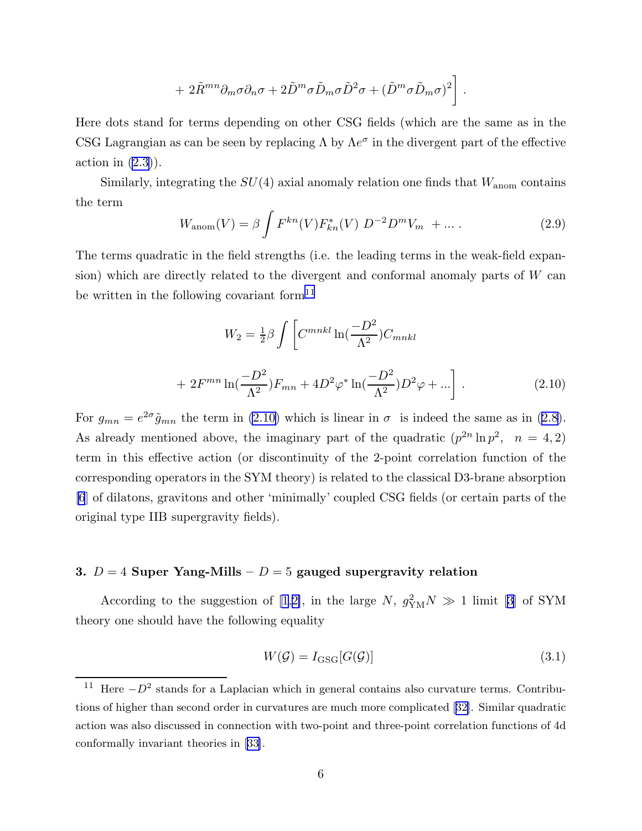+ 
$$
2\tilde{R}^{mn}\partial_m\sigma\partial_n\sigma + 2\tilde{D}^m\sigma\tilde{D}_m\sigma\tilde{D}^2\sigma + (\tilde{D}^m\sigma\tilde{D}_m\sigma)^2\bigg]
$$
.

<span id="page-6-0"></span>Here dots stand for terms depending on other CSG fields (which are the same as in the CSG Lagrangian as can be seen by replacing  $\Lambda$  by  $\Lambda e^{\sigma}$  in the divergent part of the effective action in  $(2.3)$ ).

Similarly, integrating the  $SU(4)$  axial anomaly relation one finds that  $W_{\text{anom}}$  contains the term

$$
W_{\text{anom}}(V) = \beta \int F^{kn}(V) F_{kn}^*(V) D^{-2} D^m V_m + \dots \tag{2.9}
$$

The terms quadratic in the field strengths (i.e. the leading terms in the weak-field expansion) which are directly related to the divergent and conformal anomaly parts of W can be written in the following covariant form<sup>11</sup>

$$
W_2 = \frac{1}{2}\beta \int \left[ C^{mnkl} \ln(\frac{-D^2}{\Lambda^2}) C_{mnkl} \right]
$$

$$
+ 2F^{mn} \ln(\frac{-D^2}{\Lambda^2}) F_{mn} + 4D^2 \varphi^* \ln(\frac{-D^2}{\Lambda^2}) D^2 \varphi + ... \right].
$$
 (2.10)

For $g_{mn} = e^{2\sigma} \tilde{g}_{mn}$  the term in (2.10) which is linear in  $\sigma$  is indeed the same as in ([2.8](#page-5-0)). As already mentioned above, the imaginary part of the quadratic  $(p^{2n} \ln p^2, n = 4, 2)$ term in this effective action (or discontinuity of the 2-point correlation function of the corresponding operators in the SYM theory) is related to the classical D3-brane absorption [\[6](#page-21-0)] of dilatons, gravitons and other 'minimally' coupled CSG fields (or certain parts of the original type IIB supergravity fields).

## 3.  $D = 4$  Super Yang-Mills –  $D = 5$  gauged supergravity relation

According to the suggestion of [\[1](#page-21-0),[2\]](#page-21-0), in the large  $N, g_{\text{YM}}^2 N \gg 1$  limit [\[3](#page-21-0)] of SYM theory one should have the following equality

$$
W(\mathcal{G}) = I_{\text{GSG}}[G(\mathcal{G})]
$$
\n(3.1)

<sup>&</sup>lt;sup>11</sup> Here  $-D^2$  stands for a Laplacian which in general contains also curvature terms. Contributions of higher than second order in curvatures are much more complicated [[32\]](#page-22-0). Similar quadratic action was also discussed in connection with two-point and three-point correlation functions of 4d conformally invariant theories in[[33\]](#page-22-0).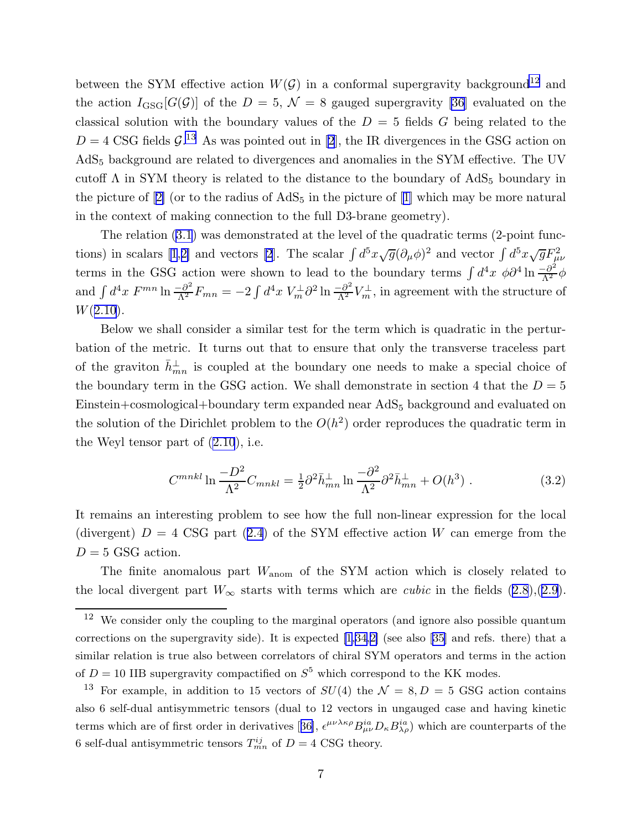<span id="page-7-0"></span>between the SYM effective action  $W(\mathcal{G})$  in a conformal supergravity background<sup>12</sup> and theaction  $I_{GSG}[G(\mathcal{G})]$  of the  $D = 5$ ,  $\mathcal{N} = 8$  gauged supergravity [[36](#page-22-0)] evaluated on the classical solution with the boundary values of the  $D = 5$  fields G being related to the  $D = 4 \text{ CSG}$  fields  $\mathcal{G}^{13}$ . As was pointed out in [\[2](#page-21-0)], the IR divergences in the GSG action on AdS<sup>5</sup> background are related to divergences and anomalies in the SYM effective. The UV cutoff  $\Lambda$  in SYM theory is related to the distance to the boundary of AdS<sub>5</sub> boundary in thepicture of  $[2]$  $[2]$  (or to the radius of  $AdS_5$  in the picture of  $[1]$  $[1]$  which may be more natural in the context of making connection to the full D3-brane geometry).

The relation([3.1](#page-6-0)) was demonstrated at the level of the quadratic terms (2-point func-tions) in scalars [\[1](#page-21-0),[2\]](#page-21-0) and vectors [\[2](#page-21-0)]. The scalar  $\int d^5x \sqrt{g} (\partial_\mu \phi)^2$  and vector  $\int d^5x \sqrt{g} F_{\mu\nu}^2$ terms in the GSG action were shown to lead to the boundary terms  $\int d^4x \phi \partial^4 \ln \frac{-\partial^2}{\Lambda^2} \phi$ and  $\int d^4x F^{mn} \ln \frac{\partial^2}{\partial^2} F_{mn} = -2 \int d^4x V_m^{\perp} \partial^2 \ln \frac{\partial^2}{\partial^2} V_m^{\perp}$ , in agreement with the structure of  $W(2.10).$  $W(2.10).$  $W(2.10).$ 

Below we shall consider a similar test for the term which is quadratic in the perturbation of the metric. It turns out that to ensure that only the transverse traceless part of the graviton  $\bar{h}_{mn}^{\perp}$  is coupled at the boundary one needs to make a special choice of the boundary term in the GSG action. We shall demonstrate in section 4 that the  $D = 5$ Einstein+cosmological+boundary term expanded near AdS<sub>5</sub> background and evaluated on the solution of the Dirichlet problem to the  $O(h^2)$  order reproduces the quadratic term in the Weyl tensor part of([2.10](#page-6-0)), i.e.

$$
C^{mnkl} \ln \frac{-D^2}{\Lambda^2} C_{mnkl} = \frac{1}{2} \partial^2 \bar{h}_{mn}^{\perp} \ln \frac{-\partial^2}{\Lambda^2} \partial^2 \bar{h}_{mn}^{\perp} + O(h^3) \tag{3.2}
$$

It remains an interesting problem to see how the full non-linear expression for the local (divergent) $D = 4 \text{ CSG part} (2.4)$  $D = 4 \text{ CSG part} (2.4)$  $D = 4 \text{ CSG part} (2.4)$  of the SYM effective action W can emerge from the  $D = 5$  GSG action.

The finite anomalous part  $W_{\text{anom}}$  of the SYM action which is closely related to thelocal divergent part  $W_{\infty}$  starts with terms which are *cubic* in the fields ([2.8](#page-5-0)),([2.9](#page-6-0)).

<sup>&</sup>lt;sup>12</sup> We consider only the coupling to the marginal operators (and ignore also possible quantum correctionson the supergravity side). It is expected  $[1,34,2]$  $[1,34,2]$  $[1,34,2]$  (see also [[35\]](#page-22-0) and refs. there) that a similar relation is true also between correlators of chiral SYM operators and terms in the action of  $D = 10$  IIB supergravity compactified on  $S^5$  which correspond to the KK modes.

<sup>&</sup>lt;sup>13</sup> For example, in addition to 15 vectors of  $SU(4)$  the  $\mathcal{N} = 8, D = 5$  GSG action contains also 6 self-dual antisymmetric tensors (dual to 12 vectors in ungauged case and having kinetic termswhich are of first order in derivatives [[36\]](#page-22-0),  $\epsilon^{\mu\nu\lambda\kappa\rho}B^{ia}_{\mu\nu}D_{\kappa}B^{ia}_{\lambda\rho}$ ) which are counterparts of the 6 self-dual antisymmetric tensors  $T_{mn}^{ij}$  of  $D = 4$  CSG theory.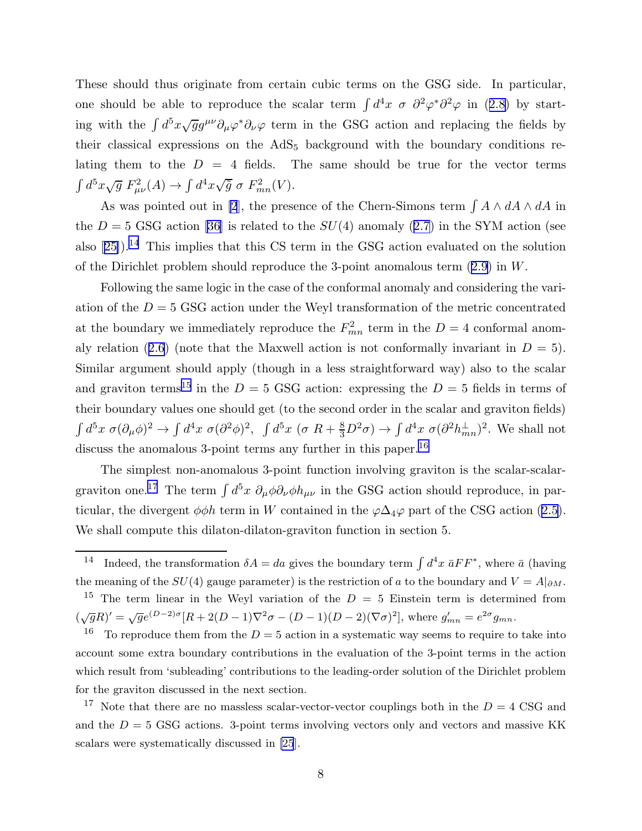These should thus originate from certain cubic terms on the GSG side. In particular, oneshould be able to reproduce the scalar term  $\int d^4x \ \sigma \ \partial^2\varphi^* \partial^2\varphi$  in ([2.8\)](#page-5-0) by starting with the  $\int d^5x \sqrt{g}g^{\mu\nu}\partial_{\mu}\varphi^*\partial_{\nu}\varphi$  term in the GSG action and replacing the fields by their classical expressions on the  $AdS_5$  background with the boundary conditions relating them to the  $D = 4$  fields. The same should be true for the vector terms  $\int d^5x \sqrt{g} F_{\mu\nu}^2(A) \rightarrow \int d^4x \sqrt{\tilde{g}} \sigma F_{mn}^2(V).$ 

As was pointed out in [\[2](#page-21-0)], the presence of the Chern-Simons term  $\int A \wedge dA \wedge dA$  in the $D = 5$  GSG action [\[36](#page-22-0)] is related to the  $SU(4)$  anomaly ([2.7](#page-5-0)) in the SYM action (see also $[25]$  $[25]$ .<sup>14</sup> This implies that this CS term in the GSG action evaluated on the solution of the Dirichlet problem should reproduce the 3-point anomalous term([2.9](#page-6-0)) in W.

Following the same logic in the case of the conformal anomaly and considering the variation of the  $D = 5$  GSG action under the Weyl transformation of the metric concentrated at the boundary we immediately reproduce the  $F_{mn}^2$  term in the  $D=4$  conformal anom-alyrelation ([2.6\)](#page-5-0) (note that the Maxwell action is not conformally invariant in  $D = 5$ ). Similar argument should apply (though in a less straightforward way) also to the scalar and graviton terms<sup>15</sup> in the  $D = 5$  GSG action: expressing the  $D = 5$  fields in terms of their boundary values one should get (to the second order in the scalar and graviton fields)  $\int d^5x \ \sigma (\partial_\mu \phi)^2 \to \int d^4x \ \sigma (\partial^2 \phi)^2$ ,  $\int d^5x \ (\sigma R + \frac{8}{3}D^2\sigma) \to \int d^4x \ \sigma (\partial^2 h_{mn}^{\perp})^2$ . We shall not discuss the anomalous 3-point terms any further in this paper.<sup>16</sup>

The simplest non-anomalous 3-point function involving graviton is the scalar-scalargraviton one.<sup>17</sup> The term  $\int d^5x \ \partial_\mu \phi \partial_\nu \phi h_{\mu\nu}$  in the GSG action should reproduce, in particular,the divergent  $\phi \phi h$  term in W contained in the  $\varphi \Delta_4 \varphi$  part of the CSG action ([2.5](#page-4-0)). We shall compute this dilaton-dilaton-graviton function in section 5.

<sup>&</sup>lt;sup>14</sup> Indeed, the transformation  $\delta A = da$  gives the boundary term  $\int d^4x \, \bar{a}FF^*$ , where  $\bar{a}$  (having the meaning of the  $SU(4)$  gauge parameter) is the restriction of a to the boundary and  $V = A|_{\partial M}$ .

<sup>&</sup>lt;sup>15</sup> The term linear in the Weyl variation of the  $D = 5$  Einstein term is determined from  $(\sqrt{g}R)' = \sqrt{g}e^{(D-2)\sigma}[R + 2(D-1)\nabla^2\sigma - (D-1)(D-2)(\nabla\sigma)^2]$ , where  $g'_{mn} = e^{2\sigma}g_{mn}$ .

<sup>&</sup>lt;sup>16</sup> To reproduce them from the  $D = 5$  action in a systematic way seems to require to take into account some extra boundary contributions in the evaluation of the 3-point terms in the action which result from 'subleading' contributions to the leading-order solution of the Dirichlet problem for the graviton discussed in the next section.

<sup>&</sup>lt;sup>17</sup> Note that there are no massless scalar-vector-vector couplings both in the  $D = 4 \text{ CSG}$  and and the  $D = 5$  GSG actions. 3-point terms involving vectors only and vectors and massive KK scalars were systematically discussed in [\[25](#page-22-0)].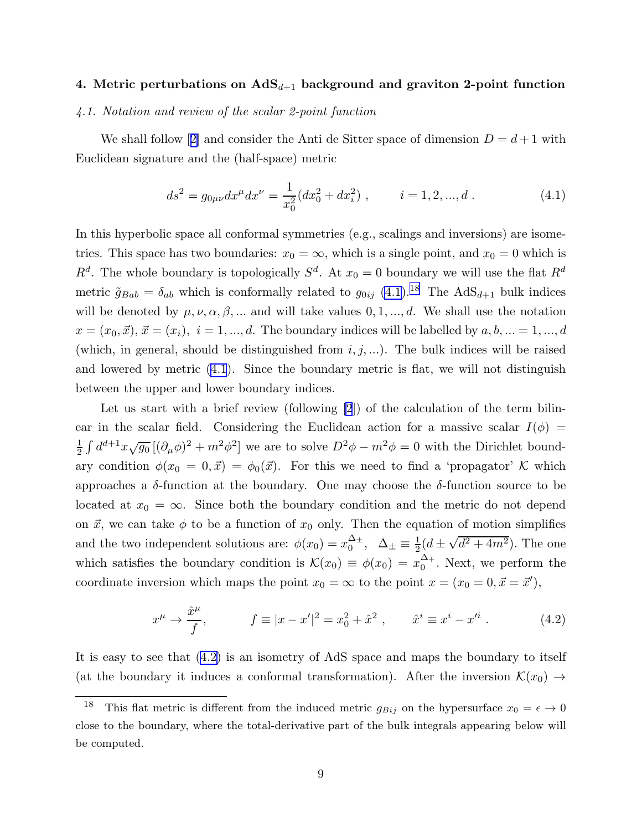# <span id="page-9-0"></span>4. Metric perturbations on  $AdS_{d+1}$  background and graviton 2-point function

#### 4.1. Notation and review of the scalar 2-point function

Weshall follow [[2\]](#page-21-0) and consider the Anti de Sitter space of dimension  $D = d + 1$  with Euclidean signature and the (half-space) metric

$$
ds^{2} = g_{0\mu\nu}dx^{\mu}dx^{\nu} = \frac{1}{x_{0}^{2}}(dx_{0}^{2} + dx_{i}^{2}), \qquad i = 1, 2, ..., d.
$$
 (4.1)

In this hyperbolic space all conformal symmetries (e.g., scalings and inversions) are isometries. This space has two boundaries:  $x_0 = \infty$ , which is a single point, and  $x_0 = 0$  which is  $R<sup>d</sup>$ . The whole boundary is topologically  $S<sup>d</sup>$ . At  $x_0 = 0$  boundary we will use the flat  $R<sup>d</sup>$ metric  $\tilde{g}_{Bab} = \delta_{ab}$  which is conformally related to  $g_{0ij}$  (4.1).<sup>18</sup> The AdS<sub>d+1</sub> bulk indices will be denoted by  $\mu, \nu, \alpha, \beta, \dots$  and will take values  $0, 1, \dots, d$ . We shall use the notation  $x = (x_0, \vec{x}), \, \vec{x} = (x_i), \, i = 1, ..., d.$  The boundary indices will be labelled by  $a, b, ... = 1, ..., d$ (which, in general, should be distinguished from  $i, j, ...$ ). The bulk indices will be raised and lowered by metric  $(4.1)$ . Since the boundary metric is flat, we will not distinguish between the upper and lower boundary indices.

Let us start with a brief review (following [\[2](#page-21-0)]) of the calculation of the term bilinear in the scalar field. Considering the Euclidean action for a massive scalar  $I(\phi)$  = 1  $\frac{1}{2} \int d^{d+1}x \sqrt{g_0} \left[ (\partial_\mu \phi)^2 + m^2 \phi^2 \right]$  we are to solve  $D^2 \phi - m^2 \phi = 0$  with the Dirichlet boundary condition  $\phi(x_0 = 0, \vec{x}) = \phi_0(\vec{x})$ . For this we need to find a 'propagator' K which approaches a  $\delta$ -function at the boundary. One may choose the  $\delta$ -function source to be located at  $x_0 = \infty$ . Since both the boundary condition and the metric do not depend on  $\vec{x}$ , we can take  $\phi$  to be a function of  $x_0$  only. Then the equation of motion simplifies and the two independent solutions are:  $\phi(x_0) = x_0^{\Delta_{\pm}}$  $\frac{\Delta_{\pm}}{0}$ ,  $\Delta_{\pm} \equiv \frac{1}{2}$  $\frac{1}{2}(d \pm \sqrt{d^2 + 4m^2})$ . The one which satisfies the boundary condition is  $\mathcal{K}(x_0) \equiv \phi(x_0) = x_0^{\Delta_+}$  $_{0}^{\Delta+}$ . Next, we perform the coordinate inversion which maps the point  $x_0 = \infty$  to the point  $x = (x_0 = 0, \vec{x} = \vec{x}')$ ,

$$
x^{\mu} \to \frac{\hat{x}^{\mu}}{f}, \qquad f \equiv |x - x'|^2 = x_0^2 + \hat{x}^2 , \qquad \hat{x}^i \equiv x^i - x'^i . \tag{4.2}
$$

It is easy to see that (4.2) is an isometry of AdS space and maps the boundary to itself (at the boundary it induces a conformal transformation). After the inversion  $\mathcal{K}(x_0) \rightarrow$ 

<sup>&</sup>lt;sup>18</sup> This flat metric is different from the induced metric  $g_{Bij}$  on the hypersurface  $x_0 = \epsilon \to 0$ close to the boundary, where the total-derivative part of the bulk integrals appearing below will be computed.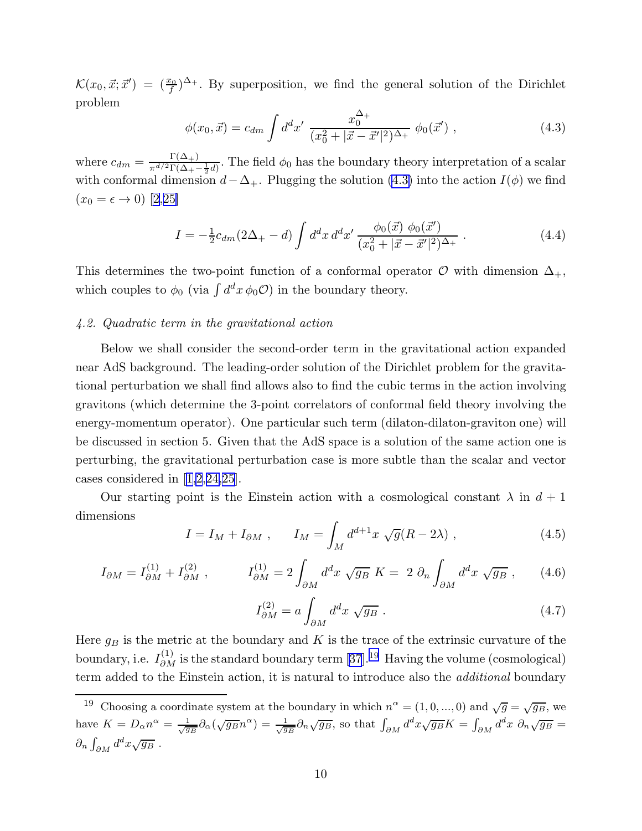<span id="page-10-0"></span> $\mathcal{K}(x_0, \vec{x}; \vec{x}') = (\frac{x_0}{f})^{\Delta_+}$ . By superposition, we find the general solution of the Dirichlet problem

$$
\phi(x_0, \vec{x}) = c_{dm} \int d^d x' \; \frac{x_0^{\Delta_+}}{(x_0^2 + |\vec{x} - \vec{x}'|^2)^{\Delta_+}} \; \phi_0(\vec{x}') \; , \tag{4.3}
$$

where  $c_{dm} = \frac{\Gamma(\Delta_+)}{\pi^{d/2} \Gamma(\Delta_+)}$  $\frac{1}{\pi^{d/2}\Gamma(\Delta_+ - \frac{1}{2}d)}$ . The field  $\phi_0$  has the boundary theory interpretation of a scalar with conformal dimension  $d-\Delta_+$ . Plugging the solution (4.3) into the action  $I(\phi)$  we find  $(x_0 = \epsilon \to 0)$  [\[2](#page-21-0),[25\]](#page-22-0)

$$
I = -\frac{1}{2}c_{dm}(2\Delta_{+} - d) \int d^{d}x \, d^{d}x' \, \frac{\phi_{0}(\vec{x}) \, \phi_{0}(\vec{x}')}{(x_{0}^{2} + |\vec{x} - \vec{x}'|^{2})^{\Delta_{+}}} \,. \tag{4.4}
$$

This determines the two-point function of a conformal operator  $\mathcal O$  with dimension  $\Delta_+$ , which couples to  $\phi_0$  (via  $\int d^dx \phi_0(\mathcal{O})$ ) in the boundary theory.

#### 4.2. Quadratic term in the gravitational action

Below we shall consider the second-order term in the gravitational action expanded near AdS background. The leading-order solution of the Dirichlet problem for the gravitational perturbation we shall find allows also to find the cubic terms in the action involving gravitons (which determine the 3-point correlators of conformal field theory involving the energy-momentum operator). One particular such term (dilaton-dilaton-graviton one) will be discussed in section 5. Given that the AdS space is a solution of the same action one is perturbing, the gravitational perturbation case is more subtle than the scalar and vector cases considered in[[1,2](#page-21-0),[24,25\]](#page-22-0).

Our starting point is the Einstein action with a cosmological constant  $\lambda$  in  $d+1$ dimensions

$$
I = I_M + I_{\partial M} , \qquad I_M = \int_M d^{d+1}x \sqrt{g}(R - 2\lambda) , \qquad (4.5)
$$

$$
I_{\partial M} = I_{\partial M}^{(1)} + I_{\partial M}^{(2)}, \qquad I_{\partial M}^{(1)} = 2 \int_{\partial M} d^d x \sqrt{g_B} \ K = 2 \ \partial_n \int_{\partial M} d^d x \sqrt{g_B} \ , \qquad (4.6)
$$

$$
I_{\partial M}^{(2)} = a \int_{\partial M} d^d x \sqrt{g_B} . \qquad (4.7)
$$

Here  $g_B$  is the metric at the boundary and K is the trace of the extrinsic curvature of the boundary, i.e.  $I_{\partial M}^{(1)}$  is the standard boundary term [\[37](#page-22-0)].<sup>19</sup> Having the volume (cosmological) term added to the Einstein action, it is natural to introduce also the additional boundary

<sup>&</sup>lt;sup>19</sup> Choosing a coordinate system at the boundary in which  $n^{\alpha} = (1, 0, ..., 0)$  and  $\sqrt{g} = \sqrt{g_B}$ , we have  $K = D_{\alpha} n^{\alpha} = \frac{1}{\sqrt{g_B}} \partial_{\alpha} (\sqrt{g_B} n^{\alpha}) = \frac{1}{\sqrt{g_B}} \partial_n \sqrt{g_B}$ , so that  $\int_{\partial M} d^d x \sqrt{g_B} K = \int_{\partial M} d^d x \ \partial_n \sqrt{g_B} =$  $\partial_n \int_{\partial M} d^dx \sqrt{g_B}$ .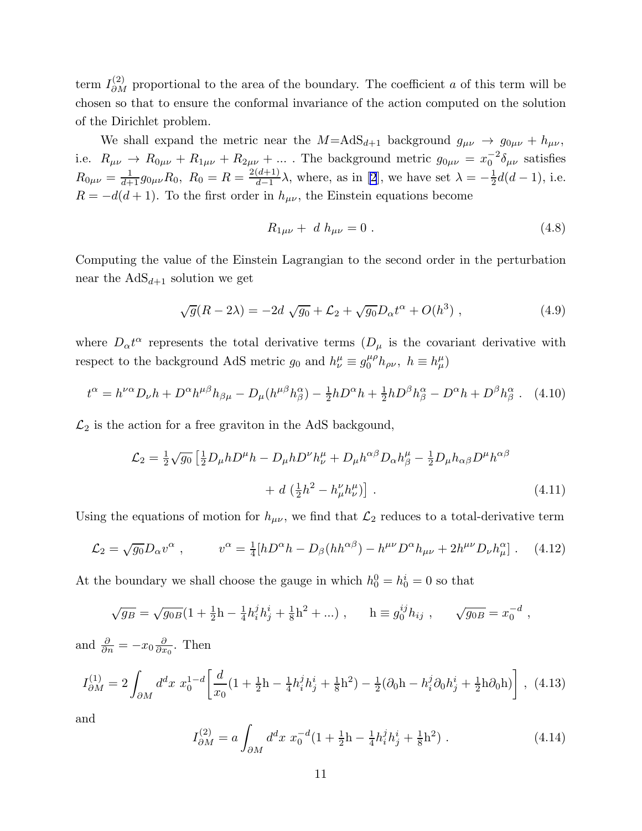<span id="page-11-0"></span>term  $I_{\partial M}^{(2)}$  proportional to the area of the boundary. The coefficient a of this term will be chosen so that to ensure the conformal invariance of the action computed on the solution of the Dirichlet problem.

We shall expand the metric near the  $M=A dS_{d+1}$  background  $g_{\mu\nu} \to g_{0\mu\nu} + h_{\mu\nu}$ , i.e.  $R_{\mu\nu} \to R_{0\mu\nu} + R_{1\mu\nu} + R_{2\mu\nu} + \dots$ . The background metric  $g_{0\mu\nu} = x_0^{-2}$  $_0^{-2}\delta_{\mu\nu}$  satisfies  $R_{0\mu\nu} = \frac{1}{d+1} g_{0\mu\nu} R_0, R_0 = R = \frac{2(d+1)}{d-1}$  $\frac{(d+1)}{d-1}\lambda$ , where, as in [\[2](#page-21-0)], we have set  $\lambda = -\frac{1}{2}$  $\frac{1}{2}d(d-1),$  i.e.  $R = -d(d+1)$ . To the first order in  $h_{\mu\nu}$ , the Einstein equations become

$$
R_{1\mu\nu} + d h_{\mu\nu} = 0. \tag{4.8}
$$

Computing the value of the Einstein Lagrangian to the second order in the perturbation near the  $AdS_{d+1}$  solution we get

$$
\sqrt{g}(R - 2\lambda) = -2d\sqrt{g_0} + \mathcal{L}_2 + \sqrt{g_0}D_{\alpha}t^{\alpha} + O(h^3) , \qquad (4.9)
$$

where  $D_{\alpha}t^{\alpha}$  represents the total derivative terms  $(D_{\mu}$  is the covariant derivative with respect to the background AdS metric  $g_0$  and  $h^{\mu}_{\nu} \equiv g_0^{\mu \rho} h_{\rho \nu}$ ,  $h \equiv h^{\mu}_{\mu}$ 

$$
t^{\alpha} = h^{\nu\alpha}D_{\nu}h + D^{\alpha}h^{\mu\beta}h_{\beta\mu} - D_{\mu}(h^{\mu\beta}h^{\alpha}_{\beta}) - \frac{1}{2}hD^{\alpha}h + \frac{1}{2}hD^{\beta}h^{\alpha}_{\beta} - D^{\alpha}h + D^{\beta}h^{\alpha}_{\beta}.
$$
 (4.10)

 $\mathcal{L}_2$  is the action for a free graviton in the AdS backgound,

$$
\mathcal{L}_2 = \frac{1}{2}\sqrt{g_0} \left[ \frac{1}{2}D_\mu h D^\mu h - D_\mu h D^\nu h^\mu_\nu + D_\mu h^{\alpha\beta} D_\alpha h^\mu_\beta - \frac{1}{2}D_\mu h_{\alpha\beta} D^\mu h^{\alpha\beta} \right. \\
\left. + d \left( \frac{1}{2}h^2 - h^\nu_\mu h^\mu_\nu \right) \right].\n\tag{4.11}
$$

Using the equations of motion for  $h_{\mu\nu}$ , we find that  $\mathcal{L}_2$  reduces to a total-derivative term

$$
\mathcal{L}_2 = \sqrt{g_0} D_\alpha v^\alpha \ , \qquad v^\alpha = \frac{1}{4} [h D^\alpha h - D_\beta (h h^{\alpha \beta}) - h^{\mu \nu} D^\alpha h_{\mu \nu} + 2 h^{\mu \nu} D_\nu h_\mu^\alpha] \ . \tag{4.12}
$$

At the boundary we shall choose the gauge in which  $h_0^0 = h_0^i = 0$  so that

$$
\sqrt{g_B} = \sqrt{g_{0B}} \left( 1 + \frac{1}{2} h - \frac{1}{4} h_i^j h_j^i + \frac{1}{8} h^2 + \dots \right), \qquad h \equiv g_0^{ij} h_{ij} , \qquad \sqrt{g_{0B}} = x_0^{-d} ,
$$
  
and  $\frac{\partial}{\partial n} = -x_0 \frac{\partial}{\partial x_0}.$  Then  

$$
I_{\partial M}^{(1)} = 2 \int_{\partial M} d^d x \ x_0^{1-d} \left[ \frac{d}{x_0} (1 + \frac{1}{2} h - \frac{1}{4} h_i^j h_j^i + \frac{1}{8} h^2) - \frac{1}{2} (\partial_0 h - h_i^j \partial_0 h_j^i + \frac{1}{2} h \partial_0 h) \right], \tag{4.13}
$$

and

∂M

and <sup>∂</sup>

$$
I_{\partial M}^{(2)} = a \int_{\partial M} d^d x \ x_0^{-d} (1 + \frac{1}{2} h - \frac{1}{4} h_i^j h_j^i + \frac{1}{8} h^2) \ . \tag{4.14}
$$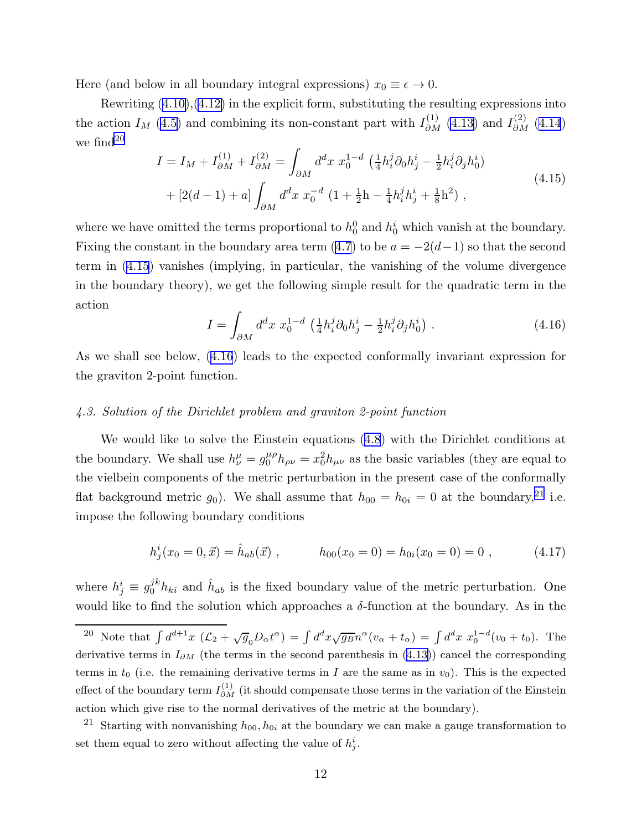<span id="page-12-0"></span>Here (and below in all boundary integral expressions)  $x_0 \equiv \epsilon \to 0$ .

Rewriting [\(4.10\)](#page-11-0),[\(4.12\)](#page-11-0) in the explicit form, substituting the resulting expressions into the action  $I_M$  [\(4.5\)](#page-10-0) and combining its non-constant part with  $I_{\partial M}^{(1)}$  [\(4.13\)](#page-11-0) and  $I_{\partial M}^{(2)}$  [\(4.14](#page-11-0)) we find<sup>20</sup>

$$
I = I_M + I_{\partial M}^{(1)} + I_{\partial M}^{(2)} = \int_{\partial M} d^d x \ x_0^{1-d} \left( \frac{1}{4} h_i^j \partial_0 h_j^i - \frac{1}{2} h_i^j \partial_j h_0^i \right) + [2(d-1) + a] \int_{\partial M} d^d x \ x_0^{-d} \left( 1 + \frac{1}{2} h - \frac{1}{4} h_i^j h_j^i + \frac{1}{8} h^2 \right),
$$
\n(4.15)

where we have omitted the terms proportional to  $h_0^0$  and  $h_0^i$  which vanish at the boundary. Fixingthe constant in the boundary area term  $(4.7)$  $(4.7)$  $(4.7)$  to be  $a = -2(d-1)$  so that the second term in (4.15) vanishes (implying, in particular, the vanishing of the volume divergence in the boundary theory), we get the following simple result for the quadratic term in the action

$$
I = \int_{\partial M} d^d x \ x_0^{1-d} \left( \frac{1}{4} h_i^j \partial_0 h_j^i - \frac{1}{2} h_i^j \partial_j h_0^i \right). \tag{4.16}
$$

As we shall see below, (4.16) leads to the expected conformally invariant expression for the graviton 2-point function.

#### 4.3. Solution of the Dirichlet problem and graviton 2-point function

We would like to solve the Einstein equations([4.8](#page-11-0)) with the Dirichlet conditions at the boundary. We shall use  $h^{\mu}_{\nu} = g^{\mu \rho}_{0} h_{\rho \nu} = x_0^2 h_{\mu \nu}$  as the basic variables (they are equal to the vielbein components of the metric perturbation in the present case of the conformally flat background metric  $g_0$ ). We shall assume that  $h_{00} = h_{0i} = 0$  at the boundary,<sup>21</sup> i.e. impose the following boundary conditions

$$
h_j^i(x_0 = 0, \vec{x}) = \hat{h}_{ab}(\vec{x}) , \qquad h_{00}(x_0 = 0) = h_{0i}(x_0 = 0) = 0 , \qquad (4.17)
$$

where  $h_j^i \equiv g_0^{jk} h_{ki}$  and  $\hat{h}_{ab}$  is the fixed boundary value of the metric perturbation. One would like to find the solution which approaches a  $\delta$ -function at the boundary. As in the

<sup>20</sup> Note that  $\int d^{d+1}x \, (\mathcal{L}_2 + \sqrt{g_0}D_\alpha t^\alpha) = \int d^d x \sqrt{g_B} n^\alpha (v_\alpha + t_\alpha) = \int d^d x \, x_0^{1-d} (v_0 + t_0)$ . The derivative terms in  $I_{\partial M}$  (the terms in the second parenthesis in [\(4.13\)](#page-11-0)) cancel the corresponding terms in  $t_0$  (i.e. the remaining derivative terms in I are the same as in  $v_0$ ). This is the expected effect of the boundary term  $I_{\partial M}^{(1)}$  (it should compensate those terms in the variation of the Einstein action which give rise to the normal derivatives of the metric at the boundary).

<sup>&</sup>lt;sup>21</sup> Starting with nonvanishing  $h_{00}$ ,  $h_{0i}$  at the boundary we can make a gauge transformation to set them equal to zero without affecting the value of  $h_j^i$ .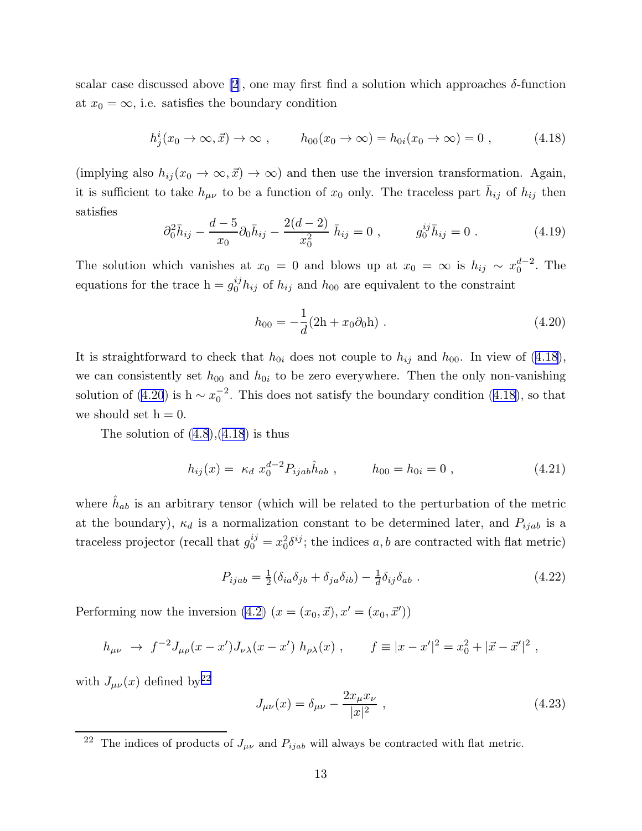<span id="page-13-0"></span>scalar case discussed above [\[2](#page-21-0)], one may first find a solution which approaches  $\delta$ -function at  $x_0 = \infty$ , i.e. satisfies the boundary condition

$$
h_j^i(x_0 \to \infty, \vec{x}) \to \infty , \qquad h_{00}(x_0 \to \infty) = h_{0i}(x_0 \to \infty) = 0 , \qquad (4.18)
$$

(implying also  $h_{ij}(x_0 \to \infty, \vec{x}) \to \infty$ ) and then use the inversion transformation. Again, it is sufficient to take  $h_{\mu\nu}$  to be a function of  $x_0$  only. The traceless part  $\bar{h}_{ij}$  of  $h_{ij}$  then satisfies

$$
\partial_0^2 \bar{h}_{ij} - \frac{d-5}{x_0} \partial_0 \bar{h}_{ij} - \frac{2(d-2)}{x_0^2} \bar{h}_{ij} = 0 , \qquad g_0^{ij} \bar{h}_{ij} = 0 . \qquad (4.19)
$$

The solution which vanishes at  $x_0 = 0$  and blows up at  $x_0 = \infty$  is  $h_{ij} \sim x_0^{d-2}$  $_0^{a-2}$ . The equations for the trace  $h = g_0^{ij} h_{ij}$  of  $h_{ij}$  and  $h_{00}$  are equivalent to the constraint

$$
h_{00} = -\frac{1}{d}(2h + x_0 \partial_0 h) \tag{4.20}
$$

It is straightforward to check that  $h_{0i}$  does not couple to  $h_{ij}$  and  $h_{00}$ . In view of (4.18), we can consistently set  $h_{00}$  and  $h_{0i}$  to be zero everywhere. Then the only non-vanishing solution of (4.20) is h  $\sim x_0^{-2}$  $_{0}^{-2}$ . This does not satisfy the boundary condition (4.18), so that we should set  $h = 0$ .

Thesolution of  $(4.8)$  $(4.8)$  $(4.8)$ , $(4.18)$  is thus

$$
h_{ij}(x) = \kappa_d \ x_0^{d-2} P_{ijab} \hat{h}_{ab} , \qquad h_{00} = h_{0i} = 0 , \qquad (4.21)
$$

where  $\hat{h}_{ab}$  is an arbitrary tensor (which will be related to the perturbation of the metric at the boundary),  $\kappa_d$  is a normalization constant to be determined later, and  $P_{ijab}$  is a traceless projector (recall that  $g_0^{ij} = x_0^2 \delta^{ij}$ ; the indices a, b are contracted with flat metric)

$$
P_{ijab} = \frac{1}{2} (\delta_{ia}\delta_{jb} + \delta_{ja}\delta_{ib}) - \frac{1}{d}\delta_{ij}\delta_{ab} . \qquad (4.22)
$$

Performing now the inversion  $(4.2)$   $(x = (x_0, \vec{x}), x' = (x_0, \vec{x}'))$ 

$$
h_{\mu\nu} \to f^{-2}J_{\mu\rho}(x-x')J_{\nu\lambda}(x-x') h_{\rho\lambda}(x) , \qquad f \equiv |x-x'|^2 = x_0^2 + |\vec{x}-\vec{x}'|^2 ,
$$

with  $J_{\mu\nu}(x)$  defined by<sup>22</sup>

$$
J_{\mu\nu}(x) = \delta_{\mu\nu} - \frac{2x_{\mu}x_{\nu}}{|x|^2} , \qquad (4.23)
$$

<sup>&</sup>lt;sup>22</sup> The indices of products of  $J_{\mu\nu}$  and  $P_{ijab}$  will always be contracted with flat metric.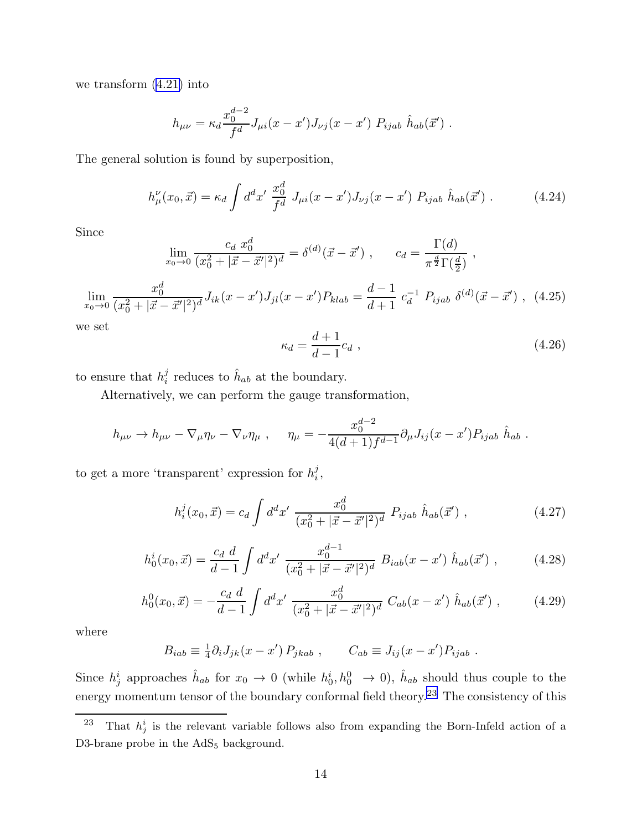<span id="page-14-0"></span>we transform [\(4.21\)](#page-13-0) into

$$
h_{\mu\nu} = \kappa_d \frac{x_0^{d-2}}{f^d} J_{\mu i}(x - x') J_{\nu j}(x - x') P_{ijab} \hat{h}_{ab}(\vec{x}')
$$

The general solution is found by superposition,

$$
h_{\mu}^{\nu}(x_0, \vec{x}) = \kappa_d \int d^d x' \frac{x_0^d}{f^d} J_{\mu i}(x - x') J_{\nu j}(x - x') P_{ijab} \hat{h}_{ab}(\vec{x}') . \tag{4.24}
$$

Since

$$
\lim_{x_0 \to 0} \frac{c_d \; x_0^d}{(x_0^2 + |\vec{x} - \vec{x}'|^2)^d} = \delta^{(d)}(\vec{x} - \vec{x}') , \qquad c_d = \frac{\Gamma(d)}{\pi^{\frac{d}{2}} \Gamma(\frac{d}{2})} ,
$$

$$
\lim_{x_0 \to 0} \frac{x_0^d}{(x_0^2 + |\vec{x} - \vec{x}'|^2)^d} J_{ik}(x - x') J_{jl}(x - x') P_{klab} = \frac{d-1}{d+1} c_d^{-1} P_{ijab} \delta^{(d)}(\vec{x} - \vec{x}') , \tag{4.25}
$$

we set

$$
\kappa_d = \frac{d+1}{d-1} c_d \tag{4.26}
$$

to ensure that  $h_i^j$  $i$  reduces to  $\hat{h}_{ab}$  at the boundary.

Alternatively, we can perform the gauge transformation,

$$
h_{\mu\nu} \to h_{\mu\nu} - \nabla_{\mu}\eta_{\nu} - \nabla_{\nu}\eta_{\mu} , \quad \eta_{\mu} = -\frac{x_0^{d-2}}{4(d+1)f^{d-1}}\partial_{\mu}J_{ij}(x-x')P_{ijab} \hat{h}_{ab} .
$$

to get a more 'transparent' expression for  $h_i^j$  $_{i}^{\jmath},$ 

$$
h_i^j(x_0, \vec{x}) = c_d \int d^d x' \; \frac{x_0^d}{(x_0^2 + |\vec{x} - \vec{x}'|^2)^d} \; P_{ijab} \; \hat{h}_{ab}(\vec{x}') \; , \tag{4.27}
$$

$$
h_0^i(x_0, \vec{x}) = \frac{c_d}{d-1} \int d^d x' \; \frac{x_0^{d-1}}{(x_0^2 + |\vec{x} - \vec{x}'|^2)^d} \; B_{iab}(x - x') \; \hat{h}_{ab}(\vec{x}') \; , \tag{4.28}
$$

$$
h_0^0(x_0, \vec{x}) = -\frac{c_d}{d-1} \int d^d x' \; \frac{x_0^d}{(x_0^2 + |\vec{x} - \vec{x}'|^2)^d} \; C_{ab}(x - x') \; \hat{h}_{ab}(\vec{x}') \; , \tag{4.29}
$$

where

$$
B_{iab} \equiv \frac{1}{4} \partial_i J_{jk}(x - x') P_{jkab} , \qquad C_{ab} \equiv J_{ij}(x - x') P_{ijab} .
$$

Since  $h_j^i$  approaches  $\hat{h}_{ab}$  for  $x_0 \to 0$  (while  $h_0^i, h_0^0 \to 0$ ),  $\hat{h}_{ab}$  should thus couple to the energy momentum tensor of the boundary conformal field theory.<sup>23</sup> The consistency of this

<sup>&</sup>lt;sup>23</sup> That  $h_j^i$  is the relevant variable follows also from expanding the Born-Infeld action of a D3-brane probe in the AdS<sub>5</sub> background.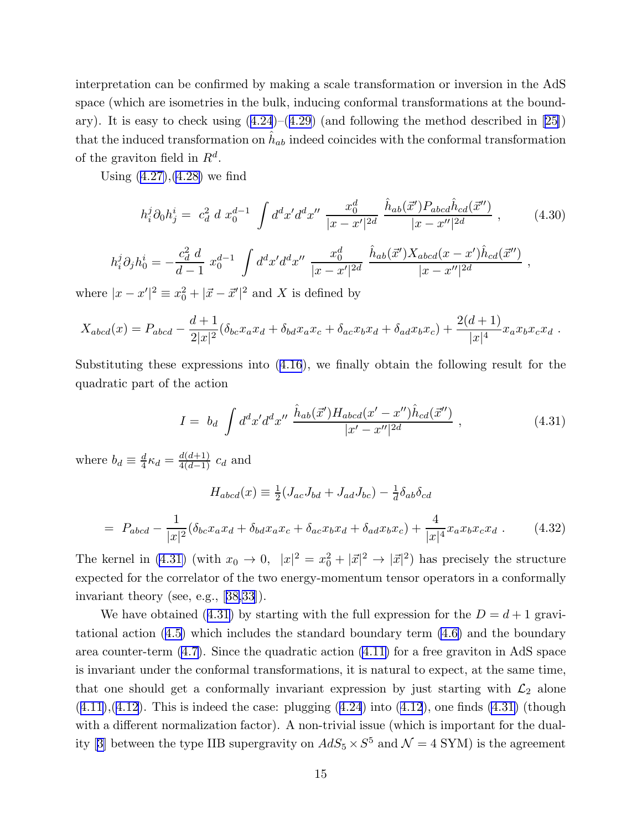<span id="page-15-0"></span>interpretation can be confirmed by making a scale transformation or inversion in the AdS space (which are isometries in the bulk, inducing conformal transformations at the bound-ary).It is easy to check using  $(4.24)$  $(4.24)$  $(4.24)$ – $(4.29)$  $(4.29)$  $(4.29)$  (and following the method described in [\[25](#page-22-0)]) that the induced transformation on  $\hat{h}_{ab}$  indeed coincides with the conformal transformation of the graviton field in  $R^d$ .

Using [\(4.27\)](#page-14-0),[\(4.28\)](#page-14-0) we find

$$
h_i^j \partial_0 h_j^i = c_d^2 \, d \, x_0^{d-1} \, \int d^d x' d^d x'' \, \frac{x_0^d}{|x - x'|^{2d}} \, \frac{\hat{h}_{ab}(\vec{x}') P_{abcd} \hat{h}_{cd}(\vec{x}'')}{|x - x''|^{2d}} \,, \tag{4.30}
$$

$$
h_i^j \partial_j h_0^i = -\frac{c_d^2 d}{d-1} x_0^{d-1} \int d^d x' d^d x'' \frac{x_0^d}{|x-x'|^{2d}} \frac{\hat{h}_{ab}(\vec{x}') X_{abcd}(x-x') \hat{h}_{cd}(\vec{x}'')}{|x-x''|^{2d}},
$$

where  $|x - x'|^2 \equiv x_0^2 + |\vec{x} - \vec{x}'|^2$  and X is defined by

$$
X_{abcd}(x) = P_{abcd} - \frac{d+1}{2|x|^2} (\delta_{bc} x_a x_d + \delta_{bd} x_a x_c + \delta_{ac} x_b x_d + \delta_{ad} x_b x_c) + \frac{2(d+1)}{|x|^4} x_a x_b x_c x_d.
$$

Substituting these expressions into([4.16](#page-12-0)), we finally obtain the following result for the quadratic part of the action

$$
I = b_d \int d^d x' d^d x'' \frac{\hat{h}_{ab}(\vec{x}') H_{abcd}(x' - x'') \hat{h}_{cd}(\vec{x}'')}{|x' - x''|^{2d}} , \qquad (4.31)
$$

where  $b_d \equiv \frac{d}{4}$  $\frac{d}{4} \kappa_d = \frac{d(d+1)}{4(d-1)} c_d$  and

$$
H_{abcd}(x) \equiv \frac{1}{2}(J_{ac}J_{bd} + J_{ad}J_{bc}) - \frac{1}{d}\delta_{ab}\delta_{cd}
$$

$$
= P_{abcd} - \frac{1}{|x|^2}(\delta_{bc}x_ax_d + \delta_{bd}x_ax_c + \delta_{ac}x_bx_d + \delta_{ad}x_bx_c) + \frac{4}{|x|^4}x_ax_bx_cx_d.
$$
(4.32)

The kernel in (4.31) (with  $x_0 \to 0$ ,  $|x|^2 = x_0^2 + |\vec{x}|^2 \to |\vec{x}|^2$ ) has precisely the structure expected for the correlator of the two energy-momentum tensor operators in a conformally invariant theory (see, e.g.,[[38,33](#page-22-0)]).

We have obtained (4.31) by starting with the full expression for the  $D = d + 1$  gravitational action([4.5](#page-10-0)) which includes the standard boundary term [\(4.6\)](#page-10-0) and the boundary area counter-term [\(4.7\)](#page-10-0). Since the quadratic action [\(4.11\)](#page-11-0) for a free graviton in AdS space is invariant under the conformal transformations, it is natural to expect, at the same time, that one should get a conformally invariant expression by just starting with  $\mathcal{L}_2$  alone  $(4.11), (4.12)$  $(4.11), (4.12)$  $(4.11), (4.12)$  $(4.11), (4.12)$  $(4.11), (4.12)$ .This is indeed the case: plugging  $(4.24)$  $(4.24)$  $(4.24)$  into  $(4.12)$ , one finds  $(4.31)$  (though with a different normalization factor). A non-trivial issue (which is important for the dual-ity[[3\]](#page-21-0) between the type IIB supergravity on  $AdS_5 \times S^5$  and  $\mathcal{N} = 4$  SYM) is the agreement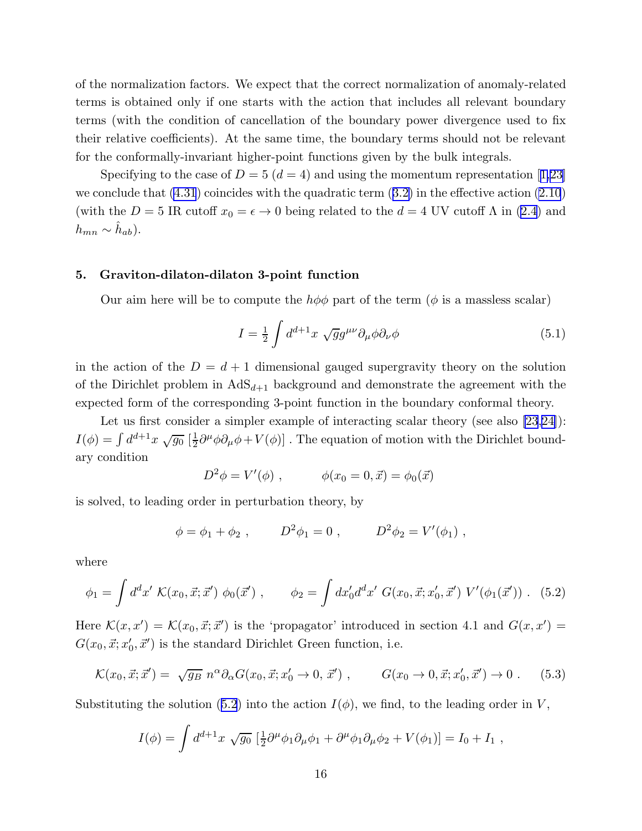<span id="page-16-0"></span>of the normalization factors. We expect that the correct normalization of anomaly-related terms is obtained only if one starts with the action that includes all relevant boundary terms (with the condition of cancellation of the boundary power divergence used to fix their relative coefficients). At the same time, the boundary terms should not be relevant for the conformally-invariant higher-point functions given by the bulk integrals.

Specifyingto the case of  $D = 5$  ( $d = 4$ ) and using the momentum representation [[1,](#page-21-0)[23\]](#page-22-0) weconclude that  $(4.31)$  coincides with the quadratic term  $(3.2)$  $(3.2)$  in the effective action  $(2.10)$ (withthe  $D = 5$  IR cutoff  $x_0 = \epsilon \to 0$  being related to the  $d = 4$  UV cutoff  $\Lambda$  in ([2.4](#page-4-0)) and  $h_{mn} \sim \hat{h}_{ab}$ ).

#### 5. Graviton-dilaton-dilaton 3-point function

Our aim here will be to compute the  $h\phi\phi$  part of the term ( $\phi$  is a massless scalar)

$$
I = \frac{1}{2} \int d^{d+1}x \sqrt{g} g^{\mu\nu} \partial_{\mu}\phi \partial_{\nu}\phi \tag{5.1}
$$

in the action of the  $D = d + 1$  dimensional gauged supergravity theory on the solution of the Dirichlet problem in  $AdS_{d+1}$  background and demonstrate the agreement with the expected form of the corresponding 3-point function in the boundary conformal theory.

Let us first consider a simpler example of interacting scalar theory (see also [\[23](#page-22-0),[24\]](#page-22-0)):  $I(\phi) = \int d^{d+1}x \, \sqrt{g_0} \, [\frac{1}{2}]$  $\frac{1}{2}\partial^{\mu}\phi\partial_{\mu}\phi + V(\phi)$ . The equation of motion with the Dirichlet boundary condition

$$
D^2 \phi = V'(\phi) , \qquad \phi(x_0 = 0, \vec{x}) = \phi_0(\vec{x})
$$

is solved, to leading order in perturbation theory, by

$$
\phi = \phi_1 + \phi_2
$$
,  $D^2 \phi_1 = 0$ ,  $D^2 \phi_2 = V'(\phi_1)$ ,

where

$$
\phi_1 = \int d^d x' \; \mathcal{K}(x_0, \vec{x}; \vec{x}') \; \phi_0(\vec{x}') \; , \qquad \phi_2 = \int dx'_0 d^d x' \; G(x_0, \vec{x}; x'_0, \vec{x}') \; V'(\phi_1(\vec{x}')) \; . \tag{5.2}
$$

Here  $\mathcal{K}(x, x') = \mathcal{K}(x_0, \vec{x}; \vec{x}')$  is the 'propagator' introduced in section 4.1 and  $G(x, x') =$  $G(x_0, \vec{x}; x'_0, \vec{x}')$  is the standard Dirichlet Green function, i.e.

$$
\mathcal{K}(x_0, \vec{x}; \vec{x}') = \sqrt{g_B} \ n^{\alpha} \partial_{\alpha} G(x_0, \vec{x}; x'_0 \to 0, \vec{x}')
$$
,  $G(x_0 \to 0, \vec{x}; x'_0, \vec{x}') \to 0$ . (5.3)

Substituting the solution (5.2) into the action  $I(\phi)$ , we find, to the leading order in V,

$$
I(\phi) = \int d^{d+1}x \sqrt{g_0} \left[ \frac{1}{2} \partial^\mu \phi_1 \partial_\mu \phi_1 + \partial^\mu \phi_1 \partial_\mu \phi_2 + V(\phi_1) \right] = I_0 + I_1,
$$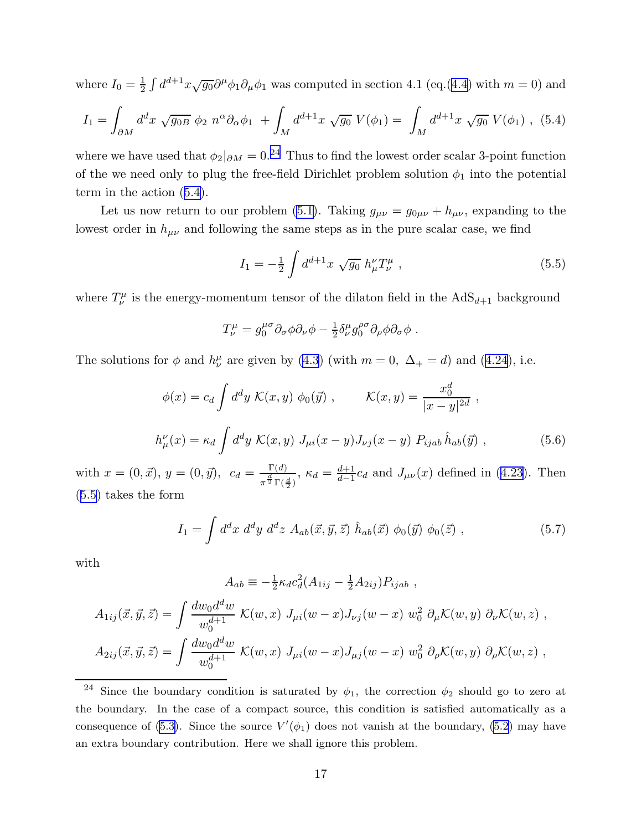<span id="page-17-0"></span>where  $I_0 = \frac{1}{2}$  $\frac{1}{2} \int d^{d+1}x \sqrt{g_0} \partial^{\mu} \phi_1 \partial_{\mu} \phi_1$  was computed in section 4.1 (eq.([4.4](#page-10-0)) with  $m = 0$ ) and

$$
I_1 = \int_{\partial M} d^d x \sqrt{g_{0B}} \phi_2 n^{\alpha} \partial_{\alpha} \phi_1 + \int_M d^{d+1} x \sqrt{g_0} V(\phi_1) = \int_M d^{d+1} x \sqrt{g_0} V(\phi_1) , (5.4)
$$

where we have used that  $\phi_2|_{\partial M} = 0.^{24}$  Thus to find the lowest order scalar 3-point function of the we need only to plug the free-field Dirichlet problem solution  $\phi_1$  into the potential term in the action (5.4).

Let us now return to our problem [\(5.1\)](#page-16-0). Taking  $g_{\mu\nu} = g_{0\mu\nu} + h_{\mu\nu}$ , expanding to the lowest order in  $h_{\mu\nu}$  and following the same steps as in the pure scalar case, we find

$$
I_1 = -\frac{1}{2} \int d^{d+1}x \sqrt{g_0} \; h_{\mu}^{\nu} T_{\nu}^{\mu} \;, \tag{5.5}
$$

where  $T^{\mu}_{\nu}$  is the energy-momentum tensor of the dilaton field in the  $AdS_{d+1}$  background

$$
T^{\mu}_{\nu} = g^{\mu\sigma}_{0} \partial_{\sigma} \phi \partial_{\nu} \phi - \frac{1}{2} \delta^{\mu}_{\nu} g^{\rho\sigma}_{0} \partial_{\rho} \phi \partial_{\sigma} \phi .
$$

Thesolutions for  $\phi$  and  $h^{\mu}_{\nu}$  are given by ([4.3](#page-10-0)) (with  $m = 0$ ,  $\Delta_{+} = d$ ) and ([4.24](#page-14-0)), i.e.

$$
\phi(x) = c_d \int d^d y \ \mathcal{K}(x, y) \ \phi_0(\vec{y}) \ , \qquad \mathcal{K}(x, y) = \frac{x_0^d}{|x - y|^{2d}} \ ,
$$

$$
h^{\nu}_{\mu}(x) = \kappa_d \int d^d y \ \mathcal{K}(x, y) \ J_{\mu i}(x - y) J_{\nu j}(x - y) \ P_{ijab} \ \hat{h}_{ab}(\vec{y}) \ , \tag{5.6}
$$

with  $x = (0, \vec{x}), y = (0, \vec{y}), c_d = \frac{\Gamma(d)}{d}$  $\frac{\Gamma(d)}{\pi^{\frac{d}{2}}\Gamma(\frac{d}{2})}, \kappa_d = \frac{d+1}{d-1}$  $\frac{d+1}{d-1}c_d$ and  $J_{\mu\nu}(x)$  defined in ([4.23](#page-13-0)). Then (5.5) takes the form

$$
I_1 = \int d^d x \; d^d y \; d^d z \; A_{ab}(\vec{x}, \vec{y}, \vec{z}) \; \hat{h}_{ab}(\vec{x}) \; \phi_0(\vec{y}) \; \phi_0(\vec{z}) \; , \tag{5.7}
$$

with

$$
A_{ab} \equiv -\frac{1}{2} \kappa_d c_d^2 (A_{1ij} - \frac{1}{2} A_{2ij}) P_{ijab} ,
$$
  
\n
$$
A_{1ij}(\vec{x}, \vec{y}, \vec{z}) = \int \frac{dw_0 d^d w}{w_0^{d+1}} \mathcal{K}(w, x) J_{\mu i}(w - x) J_{\nu j}(w - x) w_0^2 \partial_\mu \mathcal{K}(w, y) \partial_\nu \mathcal{K}(w, z) ,
$$
  
\n
$$
A_{2ij}(\vec{x}, \vec{y}, \vec{z}) = \int \frac{dw_0 d^d w}{w_0^{d+1}} \mathcal{K}(w, x) J_{\mu i}(w - x) J_{\mu j}(w - x) w_0^2 \partial_\rho \mathcal{K}(w, y) \partial_\rho \mathcal{K}(w, z) ,
$$

<sup>&</sup>lt;sup>24</sup> Since the boundary condition is saturated by  $\phi_1$ , the correction  $\phi_2$  should go to zero at the boundary. In the case of a compact source, this condition is satisfied automatically as a consequence of [\(5.3\)](#page-16-0). Since the source  $V'(\phi_1)$  does not vanish at the boundary, [\(5.2](#page-16-0)) may have an extra boundary contribution. Here we shall ignore this problem.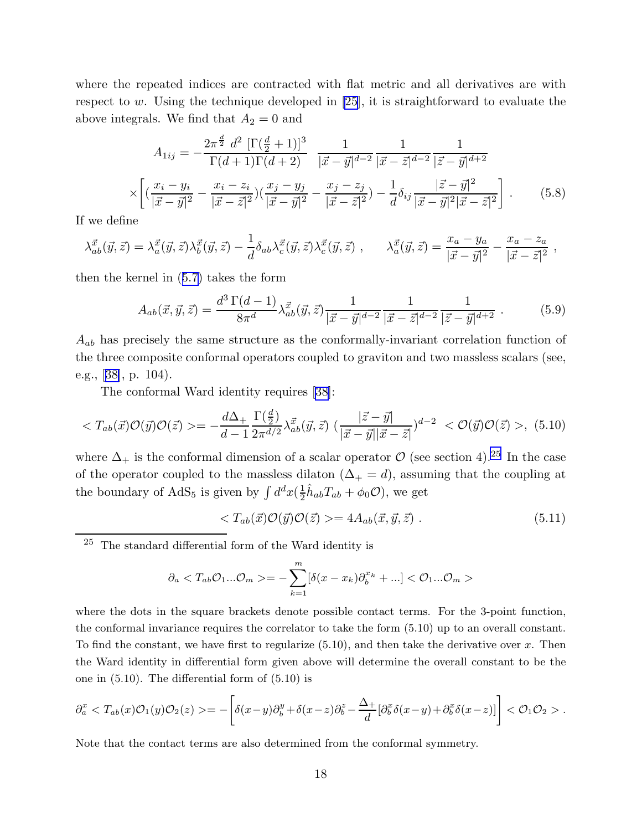<span id="page-18-0"></span>where the repeated indices are contracted with flat metric and all derivatives are with respect to w. Using the technique developed in [\[25](#page-22-0)], it is straightforward to evaluate the above integrals. We find that  $A_2 = 0$  and

$$
A_{1ij} = -\frac{2\pi^{\frac{d}{2}} d^2 \left[\Gamma(\frac{d}{2}+1)\right]^3}{\Gamma(d+1)\Gamma(d+2)} \frac{1}{|\vec{x}-\vec{y}|^{d-2}} \frac{1}{|\vec{x}-\vec{z}|^{d-2}} \frac{1}{|\vec{z}-\vec{y}|^{d+2}}
$$

$$
\times \left[ \left( \frac{x_i - y_i}{|\vec{x}-\vec{y}|^2} - \frac{x_i - z_i}{|\vec{x}-\vec{z}|^2} \right) \left( \frac{x_j - y_j}{|\vec{x}-\vec{y}|^2} - \frac{x_j - z_j}{|\vec{x}-\vec{z}|^2} \right) - \frac{1}{d} \delta_{ij} \frac{|\vec{z}-\vec{y}|^2}{|\vec{x}-\vec{y}|^2 |\vec{x}-\vec{z}|^2} \right]. \tag{5.8}
$$

If we define

$$
\lambda_{ab}^{\vec{x}}(\vec{y},\vec{z}) = \lambda_a^{\vec{x}}(\vec{y},\vec{z})\lambda_b^{\vec{x}}(\vec{y},\vec{z}) - \frac{1}{d}\delta_{ab}\lambda_c^{\vec{x}}(\vec{y},\vec{z})\lambda_c^{\vec{x}}(\vec{y},\vec{z}) , \qquad \lambda_a^{\vec{x}}(\vec{y},\vec{z}) = \frac{x_a - y_a}{|\vec{x} - \vec{y}|^2} - \frac{x_a - z_a}{|\vec{x} - \vec{z}|^2} ,
$$

then the kernel in([5.7](#page-17-0)) takes the form

$$
A_{ab}(\vec{x}, \vec{y}, \vec{z}) = \frac{d^3 \Gamma(d-1)}{8\pi^d} \lambda_{ab}^{\vec{x}}(\vec{y}, \vec{z}) \frac{1}{|\vec{x} - \vec{y}|^{d-2}} \frac{1}{|\vec{x} - \vec{z}|^{d-2}} \frac{1}{|\vec{z} - \vec{y}|^{d+2}}.
$$
(5.9)

 $A_{ab}$  has precisely the same structure as the conformally-invariant correlation function of the three composite conformal operators coupled to graviton and two massless scalars (see, e.g.,[[38\]](#page-22-0), p. 104).

The conformal Ward identity requires [\[38](#page-22-0)]:

$$
\langle T_{ab}(\vec{x})\mathcal{O}(\vec{y})\mathcal{O}(\vec{z}) \rangle = -\frac{d\Delta_{+}}{d-1} \frac{\Gamma(\frac{d}{2})}{2\pi^{d/2}} \lambda_{ab}^{\vec{x}}(\vec{y}, \vec{z}) \left(\frac{|\vec{z} - \vec{y}|}{|\vec{x} - \vec{y}||\vec{x} - \vec{z}|}\right)^{d-2} \langle \mathcal{O}(\vec{y})\mathcal{O}(\vec{z}) \rangle, (5.10)
$$

where  $\Delta_+$  is the conformal dimension of a scalar operator  $\mathcal O$  (see section 4).<sup>25</sup> In the case of the operator coupled to the massless dilaton  $(\Delta_+ = d)$ , assuming that the coupling at the boundary of AdS<sub>5</sub> is given by  $\int d^dx \left(\frac{1}{2}\right)$  $\frac{1}{2}\hat{h}_{ab}T_{ab} + \phi_0 \mathcal{O}$ , we get

$$
\langle T_{ab}(\vec{x})\mathcal{O}(\vec{y})\mathcal{O}(\vec{z}) \rangle = 4A_{ab}(\vec{x}, \vec{y}, \vec{z}) . \tag{5.11}
$$

<sup>25</sup> The standard differential form of the Ward identity is

$$
\partial_a \langle T_{ab}\mathcal{O}_1...\mathcal{O}_m \rangle = -\sum_{k=1}^m [\delta(x-x_k)\partial_b^{x_k} + ...] \langle \mathcal{O}_1...\mathcal{O}_m \rangle
$$

where the dots in the square brackets denote possible contact terms. For the 3-point function, the conformal invariance requires the correlator to take the form (5.10) up to an overall constant. To find the constant, we have first to regularize  $(5.10)$ , and then take the derivative over x. Then the Ward identity in differential form given above will determine the overall constant to be the one in (5.10). The differential form of (5.10) is

$$
\partial_a^x \langle T_{ab}(x) \mathcal{O}_1(y) \mathcal{O}_2(z) \rangle = -\left[ \delta(x-y) \partial_b^y + \delta(x-z) \partial_b^z - \frac{\Delta_+}{d} [\partial_b^x \delta(x-y) + \partial_b^x \delta(x-z)] \right] \langle \mathcal{O}_1 \mathcal{O}_2 \rangle.
$$

Note that the contact terms are also determined from the conformal symmetry.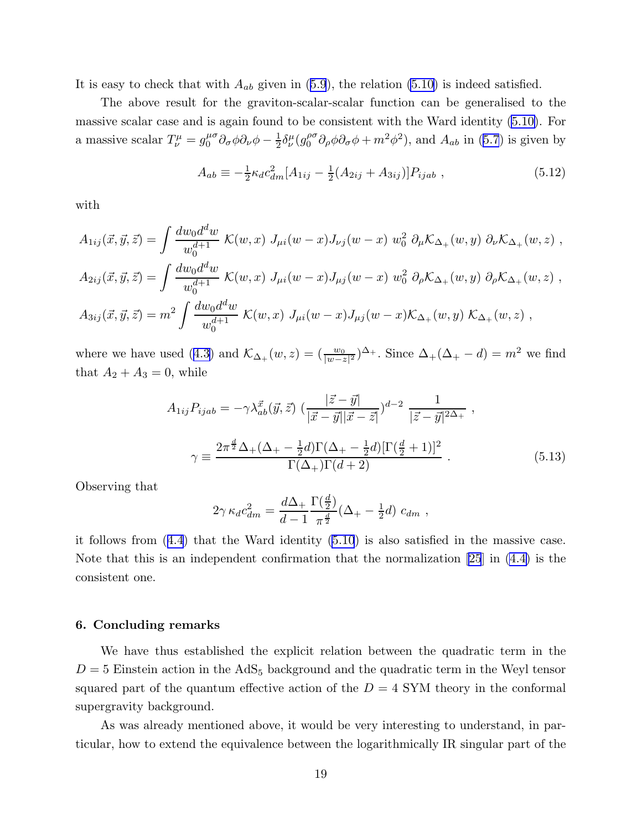Itis easy to check that with  $A_{ab}$  given in ([5.9](#page-18-0)), the relation [\(5.10\)](#page-18-0) is indeed satisfied.

The above result for the graviton-scalar-scalar function can be generalised to the massive scalar case and is again found to be consistent with the Ward identity [\(5.10\)](#page-18-0). For a massive scalar  $T^{\mu}_{\nu} = g^{\mu \sigma}_{0}$  $^{\mu\sigma}_{0}\partial_{\sigma}\phi\partial_{\nu}\phi - \frac{1}{2}$  $\frac{1}{2}\delta^{\mu}_{\nu}(g^{\rho\sigma}_{0}% ,g^{\sigma}\sigma_{\mu\nu})=0$  $\int_0^{\rho\sigma} \partial_\rho \phi \partial_\sigma \phi + m^2 \phi^2$  $\int_0^{\rho\sigma} \partial_\rho \phi \partial_\sigma \phi + m^2 \phi^2$  $\int_0^{\rho\sigma} \partial_\rho \phi \partial_\sigma \phi + m^2 \phi^2$ , and  $A_{ab}$  in ([5.7](#page-17-0)) is given by

$$
A_{ab} \equiv -\frac{1}{2}\kappa_d c_{dm}^2 [A_{1ij} - \frac{1}{2}(A_{2ij} + A_{3ij})] P_{ijab} , \qquad (5.12)
$$

with

$$
A_{1ij}(\vec{x}, \vec{y}, \vec{z}) = \int \frac{dw_0 d^d w}{w_0^{d+1}} \mathcal{K}(w, x) J_{\mu i}(w - x) J_{\nu j}(w - x) w_0^2 \partial_{\mu} \mathcal{K}_{\Delta_+}(w, y) \partial_{\nu} \mathcal{K}_{\Delta_+}(w, z) ,
$$
  
\n
$$
A_{2ij}(\vec{x}, \vec{y}, \vec{z}) = \int \frac{dw_0 d^d w}{w_0^{d+1}} \mathcal{K}(w, x) J_{\mu i}(w - x) J_{\mu j}(w - x) w_0^2 \partial_{\rho} \mathcal{K}_{\Delta_+}(w, y) \partial_{\rho} \mathcal{K}_{\Delta_+}(w, z) ,
$$
  
\n
$$
A_{3ij}(\vec{x}, \vec{y}, \vec{z}) = m^2 \int \frac{dw_0 d^d w}{w_0^{d+1}} \mathcal{K}(w, x) J_{\mu i}(w - x) J_{\mu j}(w - x) \mathcal{K}_{\Delta_+}(w, y) \mathcal{K}_{\Delta_+}(w, z) ,
$$

wherewe have used ([4.3](#page-10-0)) and  $\mathcal{K}_{\Delta_+}(w, z) = \left(\frac{w_0}{|w-z|^2}\right)^{\Delta_+}$ . Since  $\Delta_+(\Delta_+ - d) = m^2$  we find that  $A_2 + A_3 = 0$ , while

$$
A_{1ij}P_{ijab} = -\gamma \lambda_{ab}^{\vec{x}}(\vec{y}, \vec{z}) \left(\frac{|\vec{z} - \vec{y}|}{|\vec{x} - \vec{y}||\vec{x} - \vec{z}|}\right)^{d-2} \frac{1}{|\vec{z} - \vec{y}|^{2\Delta_{+}}},
$$
  

$$
\gamma \equiv \frac{2\pi^{\frac{d}{2}}\Delta_{+}(\Delta_{+} - \frac{1}{2}d)\Gamma(\Delta_{+} - \frac{1}{2}d)[\Gamma(\frac{d}{2} + 1)]^{2}}{\Gamma(\Delta_{+})\Gamma(d+2)}.
$$
(5.13)

Observing that

$$
2\gamma \kappa_d c_{dm}^2 = \frac{d\Delta_+}{d-1} \frac{\Gamma(\frac{d}{2})}{\pi^{\frac{d}{2}}} (\Delta_+ - \frac{1}{2}d) c_{dm} ,
$$

it follows from([4.4\)](#page-10-0) that the Ward identity([5.10](#page-18-0)) is also satisfied in the massive case. Note that this is an independent confirmation that the normalization [\[25](#page-22-0)] in [\(4.4\)](#page-10-0) is the consistent one.

#### 6. Concluding remarks

We have thus established the explicit relation between the quadratic term in the  $D = 5$  Einstein action in the AdS<sub>5</sub> background and the quadratic term in the Weyl tensor squared part of the quantum effective action of the  $D = 4$  SYM theory in the conformal supergravity background.

As was already mentioned above, it would be very interesting to understand, in particular, how to extend the equivalence between the logarithmically IR singular part of the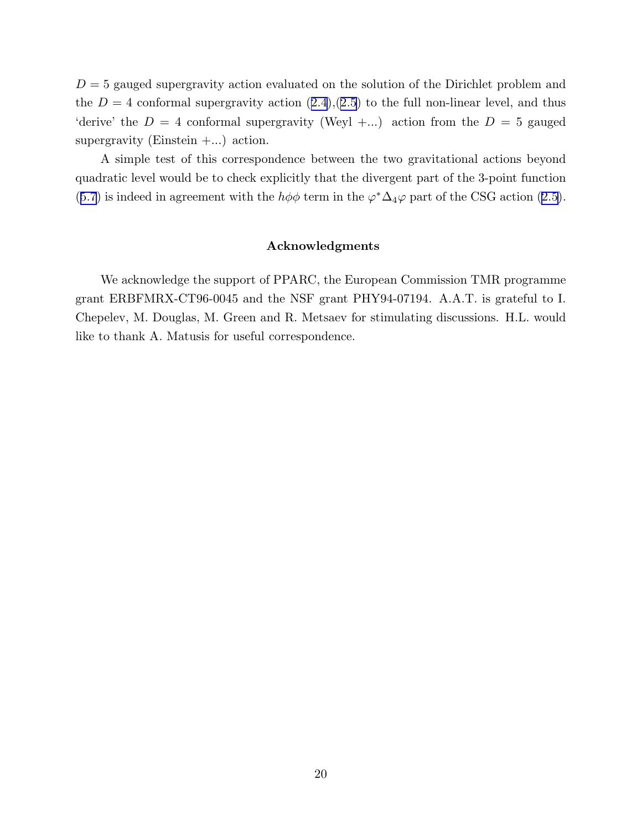$D = 5$  gauged supergravity action evaluated on the solution of the Dirichlet problem and the $D = 4$  conformal supergravity action  $(2.4), (2.5)$  $(2.4), (2.5)$  $(2.4), (2.5)$  $(2.4), (2.5)$  $(2.4), (2.5)$  to the full non-linear level, and thus 'derive' the  $D = 4$  conformal supergravity (Weyl +...) action from the  $D = 5$  gauged supergravity (Einstein  $+...$ ) action.

A simple test of this correspondence between the two gravitational actions beyond quadratic level would be to check explicitly that the divergent part of the 3-point function ([5.7](#page-17-0))is indeed in agreement with the  $h\phi\phi$  term in the  $\varphi^*\Delta_4\varphi$  part of the CSG action ([2.5](#page-4-0)).

#### Acknowledgments

We acknowledge the support of PPARC, the European Commission TMR programme grant ERBFMRX-CT96-0045 and the NSF grant PHY94-07194. A.A.T. is grateful to I. Chepelev, M. Douglas, M. Green and R. Metsaev for stimulating discussions. H.L. would like to thank A. Matusis for useful correspondence.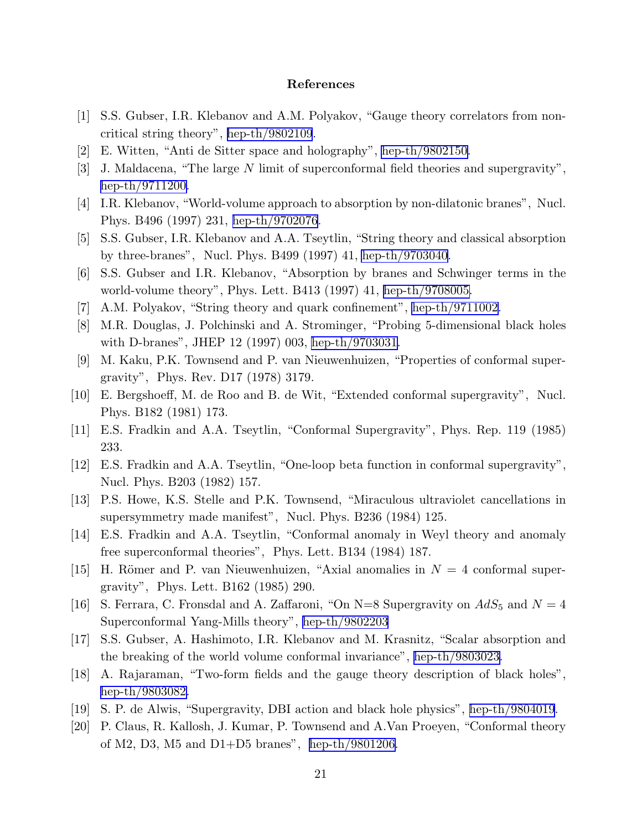#### References

- <span id="page-21-0"></span>[1] S.S. Gubser, I.R. Klebanov and A.M. Polyakov, "Gauge theory correlators from noncritical string theory", [hep-th/9802109](http://arxiv.org/abs/hep-th/9802109).
- [2] E. Witten, "Anti de Sitter space and holography", [hep-th/9802150.](http://arxiv.org/abs/hep-th/9802150)
- [3] J. Maldacena, "The large N limit of superconformal field theories and supergravity", [hep-th/9711200.](http://arxiv.org/abs/hep-th/9711200)
- [4] I.R. Klebanov, "World-volume approach to absorption by non-dilatonic branes", Nucl. Phys. B496 (1997) 231, [hep-th/9702076](http://arxiv.org/abs/hep-th/9702076).
- [5] S.S. Gubser, I.R. Klebanov and A.A. Tseytlin, "String theory and classical absorption by three-branes", Nucl. Phys. B499 (1997) 41, [hep-th/9703040](http://arxiv.org/abs/hep-th/9703040).
- [6] S.S. Gubser and I.R. Klebanov, "Absorption by branes and Schwinger terms in the world-volume theory", Phys. Lett. B413 (1997) 41, [hep-th/9708005.](http://arxiv.org/abs/hep-th/9708005)
- [7] A.M. Polyakov, "String theory and quark confinement", [hep-th/9711002](http://arxiv.org/abs/hep-th/9711002).
- [8] M.R. Douglas, J. Polchinski and A. Strominger, "Probing 5-dimensional black holes with D-branes", JHEP 12 (1997) 003, [hep-th/9703031.](http://arxiv.org/abs/hep-th/9703031)
- [9] M. Kaku, P.K. Townsend and P. van Nieuwenhuizen, "Properties of conformal supergravity", Phys. Rev. D17 (1978) 3179.
- [10] E. Bergshoeff, M. de Roo and B. de Wit, "Extended conformal supergravity", Nucl. Phys. B182 (1981) 173.
- [11] E.S. Fradkin and A.A. Tseytlin, "Conformal Supergravity", Phys. Rep. 119 (1985) 233.
- [12] E.S. Fradkin and A.A. Tseytlin, "One-loop beta function in conformal supergravity", Nucl. Phys. B203 (1982) 157.
- [13] P.S. Howe, K.S. Stelle and P.K. Townsend, "Miraculous ultraviolet cancellations in supersymmetry made manifest", Nucl. Phys. B236 (1984) 125.
- [14] E.S. Fradkin and A.A. Tseytlin, "Conformal anomaly in Weyl theory and anomaly free superconformal theories", Phys. Lett. B134 (1984) 187.
- [15] H. Römer and P. van Nieuwenhuizen, "Axial anomalies in  $N = 4$  conformal supergravity", Phys. Lett. B162 (1985) 290.
- [16] S. Ferrara, C. Fronsdal and A. Zaffaroni, "On N=8 Supergravity on  $AdS_5$  and  $N = 4$ Superconformal Yang-Mills theory", [hep-th/9802203](http://arxiv.org/abs/hep-th/9802203)
- [17] S.S. Gubser, A. Hashimoto, I.R. Klebanov and M. Krasnitz, "Scalar absorption and the breaking of the world volume conformal invariance", [hep-th/9803023.](http://arxiv.org/abs/hep-th/9803023)
- [18] A. Rajaraman, "Two-form fields and the gauge theory description of black holes", [hep-th/9803082.](http://arxiv.org/abs/hep-th/9803082)
- [19] S. P. de Alwis, "Supergravity, DBI action and black hole physics", [hep-th/9804019](http://arxiv.org/abs/hep-th/9804019).
- [20] P. Claus, R. Kallosh, J. Kumar, P. Townsend and A.Van Proeyen, "Conformal theory of M2, D3, M5 and D1+D5 branes", [hep-th/9801206.](http://arxiv.org/abs/hep-th/9801206)